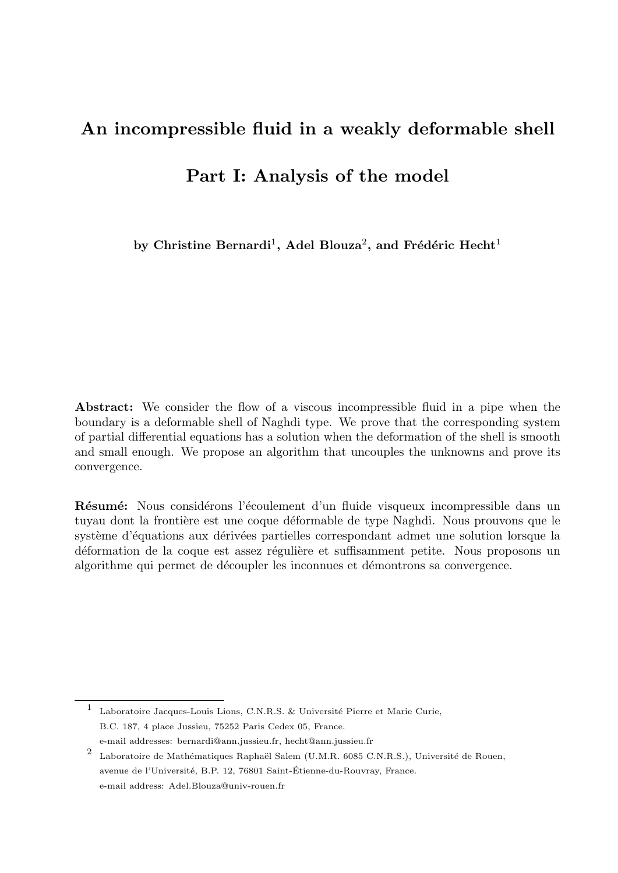# An incompressible fluid in a weakly deformable shell

Part I: Analysis of the model

by Christine Bernardi $^1,$  Adel Blouza $^2,$  and Frédéric Hecht $^1$ 

Abstract: We consider the flow of a viscous incompressible fluid in a pipe when the boundary is a deformable shell of Naghdi type. We prove that the corresponding system of partial differential equations has a solution when the deformation of the shell is smooth and small enough. We propose an algorithm that uncouples the unknowns and prove its convergence.

Résumé: Nous considérons l'écoulement d'un fluide visqueux incompressible dans un tuyau dont la frontière est une coque déformable de type Naghdi. Nous prouvons que le système d'équations aux dérivées partielles correspondant admet une solution lorsque la déformation de la coque est assez régulière et suffisamment petite. Nous proposons un algorithme qui permet de découpler les inconnues et démontrons sa convergence.

<sup>&</sup>lt;sup>1</sup> Laboratoire Jacques-Louis Lions, C.N.R.S. & Université Pierre et Marie Curie, B.C. 187, 4 place Jussieu, 75252 Paris Cedex 05, France. e-mail addresses: bernardi@ann.jussieu.fr, hecht@ann.jussieu.fr

<sup>2</sup> Laboratoire de Mathématiques Raphaël Salem (U.M.R. 6085 C.N.R.S.), Université de Rouen, avenue de l'Université, B.P. 12, 76801 Saint-Étienne-du-Rouvray, France. e-mail address: Adel.Blouza@univ-rouen.fr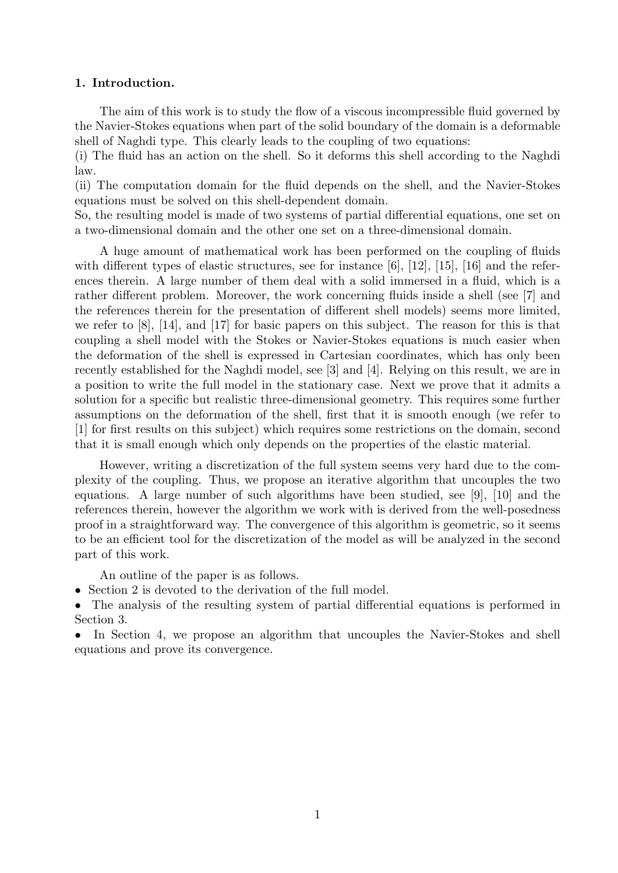## 1. Introduction.

The aim of this work is to study the flow of a viscous incompressible fluid governed by the Navier-Stokes equations when part of the solid boundary of the domain is a deformable shell of Naghdi type. This clearly leads to the coupling of two equations:

(i) The fluid has an action on the shell. So it deforms this shell according to the Naghdi law.

(ii) The computation domain for the fluid depends on the shell, and the Navier-Stokes equations must be solved on this shell-dependent domain.

So, the resulting model is made of two systems of partial differential equations, one set on a two-dimensional domain and the other one set on a three-dimensional domain.

A huge amount of mathematical work has been performed on the coupling of fluids with different types of elastic structures, see for instance [6], [12], [15], [16] and the references therein. A large number of them deal with a solid immersed in a fluid, which is a rather different problem. Moreover, the work concerning fluids inside a shell (see [7] and the references therein for the presentation of different shell models) seems more limited, we refer to [8], [14], and [17] for basic papers on this subject. The reason for this is that coupling a shell model with the Stokes or Navier-Stokes equations is much easier when the deformation of the shell is expressed in Cartesian coordinates, which has only been recently established for the Naghdi model, see [3] and [4]. Relying on this result, we are in a position to write the full model in the stationary case. Next we prove that it admits a solution for a specific but realistic three-dimensional geometry. This requires some further assumptions on the deformation of the shell, first that it is smooth enough (we refer to [1] for first results on this subject) which requires some restrictions on the domain, second that it is small enough which only depends on the properties of the elastic material.

However, writing a discretization of the full system seems very hard due to the complexity of the coupling. Thus, we propose an iterative algorithm that uncouples the two equations. A large number of such algorithms have been studied, see [9], [10] and the references therein, however the algorithm we work with is derived from the well-posedness proof in a straightforward way. The convergence of this algorithm is geometric, so it seems to be an efficient tool for the discretization of the model as will be analyzed in the second part of this work.

An outline of the paper is as follows.

• Section 2 is devoted to the derivation of the full model.

• The analysis of the resulting system of partial differential equations is performed in Section 3.

• In Section 4, we propose an algorithm that uncouples the Navier-Stokes and shell equations and prove its convergence.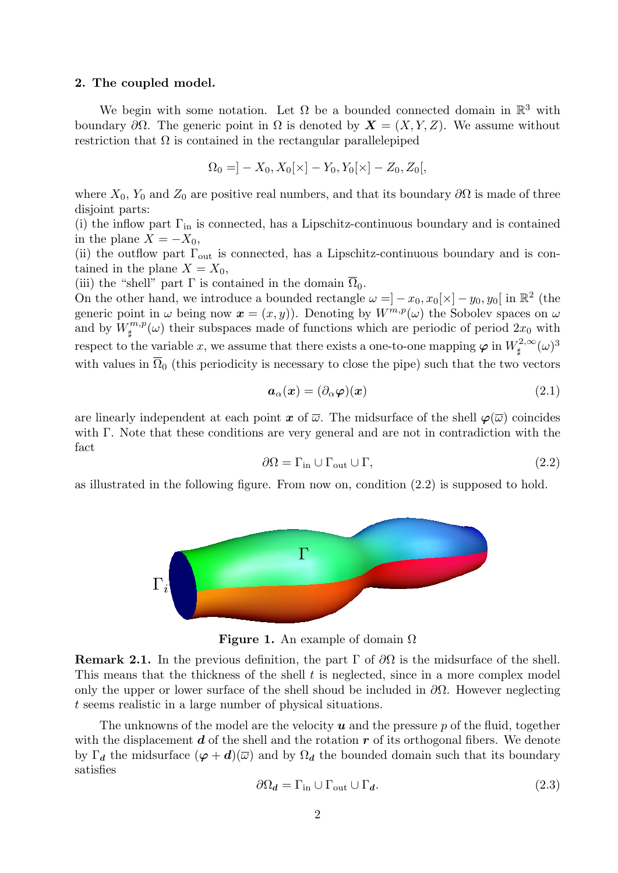## 2. The coupled model.  $\epsilon$ . The coupled model.

We begin with some notation. Let  $\Omega$  be a bounded connected domain in  $\mathbb{R}^3$  with boundary  $\partial\Omega$ . The generic point in  $\Omega$  is denoted by  $\mathbf{X} = (X, Y, Z)$ . We assume without restriction that  $\Omega$  is contained in the rectangular parallelepiped

$$
\Omega_0 = ]-X_0, X_0[ \times ]-Y_0, Y_0[ \times ]-Z_0, Z_0[ ,
$$

where  $X_0$ ,  $Y_0$  and  $Z_0$  are positive real numbers, and that its boundary  $\partial\Omega$  is made of three disjoint parts: in  $Z = \sum_{i=1}^N \alpha_i \sum_{j=1}^N \alpha_j \alpha_j$ . We assume with  $Z = \sum_{i=1}^N \alpha_i \alpha_i$ 

(i) the inflow part  $\Gamma_{\text{in}}$  is connected, has a Lipschitz-continuous boundary and is contained<br>in the plane  $X = -X_0$ . in the plane  $X = -X_0$ ,

In the plane  $\Lambda = -\Lambda_0$ ,<br>(ii) the outflow part  $\Gamma_{\text{out}}$  is connected, has a Lipschitz-continuous boundary and is contained in the plane  $X = X_0$ , (i) the inflow part Γi is connected, Lipschitz-contained in the plane X = contained in the plane X = connected<br>In the plane X = contained in the plane X = contained in the plane X = connected, Lipschitz-contained in the p

(iii) the "shell" part  $\Gamma$  is contained in the domain  $\overline{\Omega}_0$ . e seems realistic in a large number of the situation of physical situations. The situation of physical situations. The situations of physical situations of physical situations. The situations of physical situations. The si

(iii) the "shell" part I is contained in the domain  $\Omega_0$ .<br>On the other hand, we introduce a bounded rectangle  $\omega = ] - x_0, x_0[\times] - y_0, y_0[$  in  $\mathbb{R}^2$  (the generic point in  $\omega$  being now  $\mathbf{x} = (x, y)$ . Denoting by  $W^{m,p}(\omega)$  the Sobolev spaces on  $\omega$ and by  $W^{m,p}_{\text{H}}$ and by  $W^{m,p}_{\sharp}(\omega)$  their subspaces made of functions which are periodic of period  $2x_0$  with respect to the variable x, we assume that there exists a one-to-one mapping  $\varphi$  in  $W^{2,\infty}_{\sharp}(\omega)^3$ with values in  $\Omega_0$  (this periodicity is necessary to close the pipe) such that the two vectors

$$
a_{\alpha}(x) = (\partial_{\alpha}\varphi)(x) \tag{2.1}
$$

are linearly independent at each point  $x$  of  $\overline{\omega}$ . The midsurface of the shell  $\varphi(\overline{\omega})$  coincides with  $\Gamma$ . Note that these conditions are very general and are not in contradiction with the fact  $\operatorname{fact}$ 

$$
\partial \Omega = \Gamma_{\text{in}} \cup \Gamma_{\text{out}} \cup \Gamma, \tag{2.2}
$$

as illustrated in the following figure. From now on, condition (2.2) is supposed to hold.



**Figure 1.** An example of domain  $\Omega$ 

**This means that the thickness of the shell t is neglected, since in a more complex model Remark 2.1.** In the previous definition, the part  $\Gamma$  of  $\partial\Omega$  is the midsurface of the shell.<br>This manne that the this way of the shall t is neglected, since in a mane sempler we del only the upper or lower surface of the shell shoud be included in  $\partial\Omega$ . However neglecting t seems realistic in a large number of physical situations.

> The unknowns of the model are the velocity  $u$  and the pressure  $p$  of the fluid, together by  $\Gamma_d$  the midsurface  $(\varphi + d)(\overline{\omega})$  and by  $\Omega_d$  the bounded domain such that its boundary satisfies with the displacement  $d$  of the shell and the rotation  $r$  of its orthogonal fibers. We denote satisfies

$$
\partial \Omega_d = \Gamma_{\text{in}} \cup \Gamma_{\text{out}} \cup \Gamma_d. \tag{2.3}
$$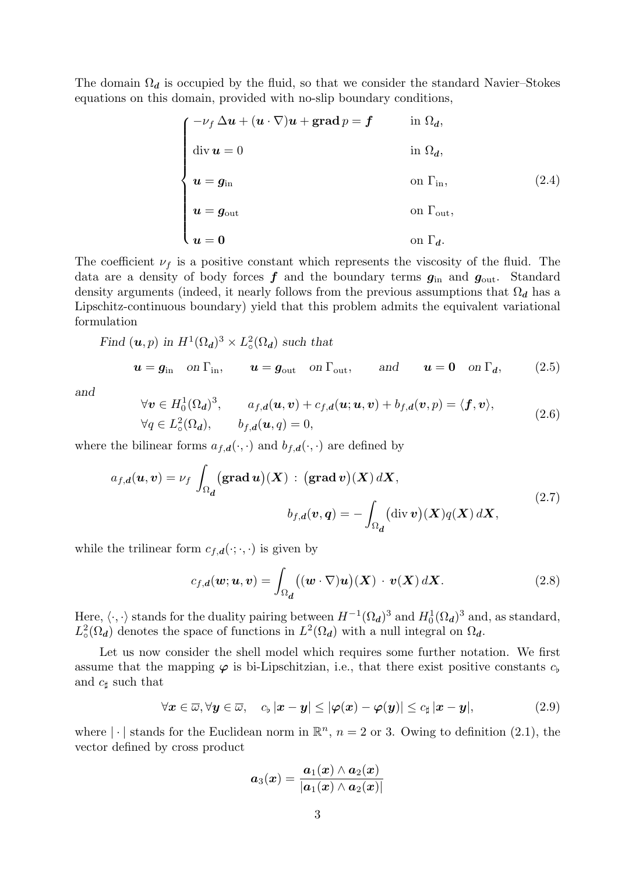The domain  $\Omega_d$  is occupied by the fluid, so that we consider the standard Navier–Stokes equations on this domain, provided with no-slip boundary conditions,

$$
\begin{cases}\n-\nu_f \Delta u + (u \cdot \nabla)u + \text{grad } p = f & \text{in } \Omega_d, \\
\text{div } u = 0 & \text{in } \Omega_d, \\
u = g_{\text{in}} & \text{on } \Gamma_{\text{in}}, \\
u = g_{\text{out}} & \text{on } \Gamma_{\text{out}}, \\
u = 0 & \text{on } \Gamma_d.\n\end{cases}
$$
\n(2.4)

The coefficient  $\nu_f$  is a positive constant which represents the viscosity of the fluid. The data are a density of body forces  $f$  and the boundary terms  $g_{\text{in}}$  and  $g_{\text{out}}$ . Standard density arguments (indeed, it nearly follows from the previous assumptions that  $\Omega_d$  has a Lipschitz-continuous boundary) yield that this problem admits the equivalent variational formulation

Find 
$$
(\mathbf{u}, p)
$$
 in  $H^1(\Omega_d)^3 \times L^2_{\circ}(\Omega_d)$  such that

$$
\quad \text{and} \quad
$$

$$
\forall \mathbf{v} \in H_0^1(\Omega_d)^3, \qquad a_{f,d}(\mathbf{u}, \mathbf{v}) + c_{f,d}(\mathbf{u}; \mathbf{u}, \mathbf{v}) + b_{f,d}(\mathbf{v}, p) = \langle \mathbf{f}, \mathbf{v} \rangle, \n\forall q \in L_\circ^2(\Omega_d), \qquad b_{f,d}(\mathbf{u}, q) = 0,
$$
\n(2.6)

 $\bm{u} = \bm{g}_{\mathrm{in}} \quad \text{on } \Gamma_{\mathrm{in}}, \qquad \bm{u} = \bm{g}_{\mathrm{out}} \quad \text{on } \Gamma_{\mathrm{out}}, \qquad \text{and} \qquad \bm{u} = \bm{0} \quad \text{on } \Gamma_{\bm{d}}, \qquad (2.5)$ 

where the bilinear forms  $a_{f,d}(\cdot, \cdot)$  and  $b_{f,d}(\cdot, \cdot)$  are defined by

$$
a_{f,d}(u,v) = \nu_f \int_{\Omega_d} (\text{grad } u)(X) : (\text{grad } v)(X) dX,
$$
  

$$
b_{f,d}(v,q) = -\int_{\Omega_d} (\text{div } v)(X) q(X) dX,
$$
 (2.7)

while the trilinear form  $c_{f,d}(\cdot;\cdot,\cdot)$  is given by

$$
c_{f,d}(\mathbf{w};\mathbf{u},\mathbf{v}) = \int_{\Omega_{d}} ((\mathbf{w} \cdot \nabla)\mathbf{u})(\mathbf{X}) \cdot \mathbf{v}(\mathbf{X}) d\mathbf{X}.
$$
 (2.8)

Here,  $\langle \cdot, \cdot \rangle$  stands for the duality pairing between  $H^{-1}(\Omega_d)^3$  and  $H_0^1(\Omega_d)^3$  and, as standard,  $L^2_{\circ}$  $L^2(\Omega_d)$  denotes the space of functions in  $L^2(\Omega_d)$  with a null integral on  $\Omega_d$ .

Let us now consider the shell model which requires some further notation. We first assume that the mapping  $\varphi$  is bi-Lipschitzian, i.e., that there exist positive constants  $c_{\flat}$ and  $c_{\sharp}$  such that

$$
\forall \boldsymbol{x} \in \overline{\omega}, \forall \boldsymbol{y} \in \overline{\omega}, \quad c_{\flat} \left| \boldsymbol{x} - \boldsymbol{y} \right| \leq \left| \boldsymbol{\varphi}(\boldsymbol{x}) - \boldsymbol{\varphi}(\boldsymbol{y}) \right| \leq c_{\sharp} \left| \boldsymbol{x} - \boldsymbol{y} \right|,\tag{2.9}
$$

where  $|\cdot|$  stands for the Euclidean norm in  $\mathbb{R}^n$ ,  $n = 2$  or 3. Owing to definition (2.1), the vector defined by cross product

$$
\bm{a}_{3}(\bm{x}) = \frac{\bm{a}_{1}(\bm{x}) \wedge \bm{a}_{2}(\bm{x})}{|\bm{a}_{1}(\bm{x}) \wedge \bm{a}_{2}(\bm{x})|}
$$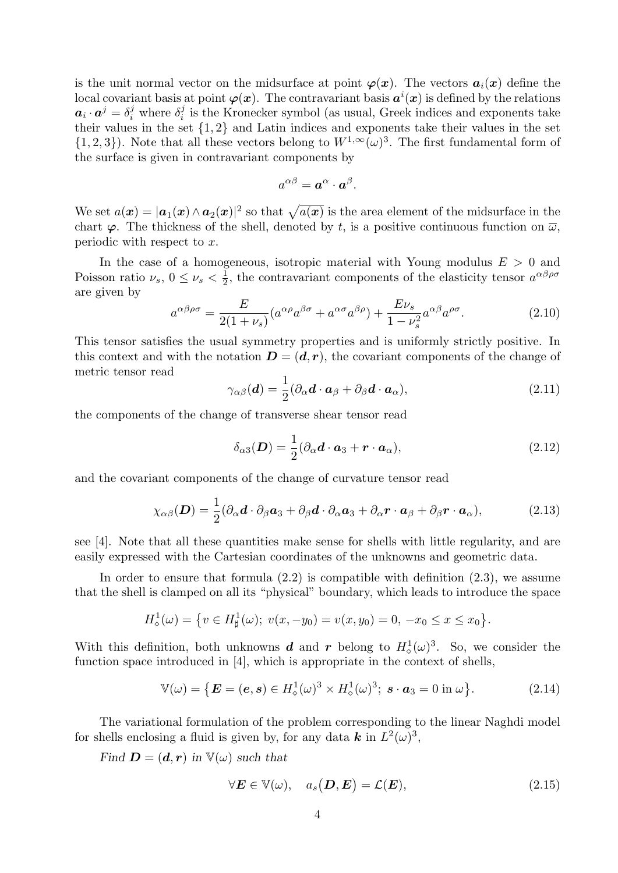is the unit normal vector on the midsurface at point  $\varphi(x)$ . The vectors  $a_i(x)$  define the local covariant basis at point  $\varphi(x)$ . The contravariant basis  $a^i(x)$  is defined by the relations  $\boldsymbol{a}_i \cdot \boldsymbol{a}^j = \delta_i^j$  where  $\delta_i^j$  $i<sub>i</sub>$  is the Kronecker symbol (as usual, Greek indices and exponents take their values in the set  $\{1, 2\}$  and Latin indices and exponents take their values in the set  $\{1,2,3\}$ . Note that all these vectors belong to  $W^{1,\infty}(\omega)^3$ . The first fundamental form of the surface is given in contravariant components by

$$
a^{\alpha\beta} = \boldsymbol{a}^{\alpha} \cdot \boldsymbol{a}^{\beta}.
$$

We set  $a(x) = |a_1(x) \wedge a_2(x)|^2$  so that  $\sqrt{a(x)}$  is the area element of the midsurface in the chart  $\varphi$ . The thickness of the shell, denoted by t, is a positive continuous function on  $\overline{\omega}$ , periodic with respect to x.

In the case of a homogeneous, isotropic material with Young modulus  $E > 0$  and Poisson ratio  $\nu_s$ ,  $0 \leq \nu_s < \frac{1}{2}$  $\frac{1}{2}$ , the contravariant components of the elasticity tensor  $a^{\alpha\beta\rho\sigma}$ are given by

$$
a^{\alpha\beta\rho\sigma} = \frac{E}{2(1+\nu_s)} (a^{\alpha\rho} a^{\beta\sigma} + a^{\alpha\sigma} a^{\beta\rho}) + \frac{E\nu_s}{1-\nu_s^2} a^{\alpha\beta} a^{\rho\sigma}.
$$
 (2.10)

This tensor satisfies the usual symmetry properties and is uniformly strictly positive. In this context and with the notation  $D = (d, r)$ , the covariant components of the change of metric tensor read

$$
\gamma_{\alpha\beta}(\boldsymbol{d}) = \frac{1}{2} (\partial_{\alpha}\boldsymbol{d} \cdot \boldsymbol{a}_{\beta} + \partial_{\beta}\boldsymbol{d} \cdot \boldsymbol{a}_{\alpha}), \qquad (2.11)
$$

the components of the change of transverse shear tensor read

$$
\delta_{\alpha 3}(\boldsymbol{D}) = \frac{1}{2} (\partial_{\alpha} \boldsymbol{d} \cdot \boldsymbol{a}_3 + \boldsymbol{r} \cdot \boldsymbol{a}_{\alpha}), \qquad (2.12)
$$

and the covariant components of the change of curvature tensor read

$$
\chi_{\alpha\beta}(\boldsymbol{D}) = \frac{1}{2} (\partial_{\alpha} \boldsymbol{d} \cdot \partial_{\beta} \boldsymbol{a}_3 + \partial_{\beta} \boldsymbol{d} \cdot \partial_{\alpha} \boldsymbol{a}_3 + \partial_{\alpha} \boldsymbol{r} \cdot \boldsymbol{a}_{\beta} + \partial_{\beta} \boldsymbol{r} \cdot \boldsymbol{a}_{\alpha}), \qquad (2.13)
$$

see [4]. Note that all these quantities make sense for shells with little regularity, and are easily expressed with the Cartesian coordinates of the unknowns and geometric data.

In order to ensure that formula  $(2.2)$  is compatible with definition  $(2.3)$ , we assume that the shell is clamped on all its "physical" boundary, which leads to introduce the space

$$
H^1_{\diamond}(\omega) = \{ v \in H^1_{\sharp}(\omega); \ v(x, -y_0) = v(x, y_0) = 0, \ -x_0 \le x \le x_0 \}.
$$

With this definition, both unknowns **d** and **r** belong to  $H^1_\diamond(\omega)^3$ . So, we consider the function space introduced in [4], which is appropriate in the context of shells,

$$
\mathbb{V}(\omega) = \left\{ \boldsymbol{E} = (\boldsymbol{e}, \boldsymbol{s}) \in H^1_{\diamond}(\omega)^3 \times H^1_{\diamond}(\omega)^3; \ \boldsymbol{s} \cdot \boldsymbol{a}_3 = 0 \text{ in } \omega \right\}. \tag{2.14}
$$

The variational formulation of the problem corresponding to the linear Naghdi model for shells enclosing a fluid is given by, for any data  $\boldsymbol{k}$  in  $L^2(\omega)^3$ ,

Find  $\mathbf{D} = (\mathbf{d}, \mathbf{r})$  in  $\mathbb{V}(\omega)$  such that

$$
\forall \boldsymbol{E} \in \mathbb{V}(\omega), \quad a_s(\boldsymbol{D}, \boldsymbol{E}) = \mathcal{L}(\boldsymbol{E}), \tag{2.15}
$$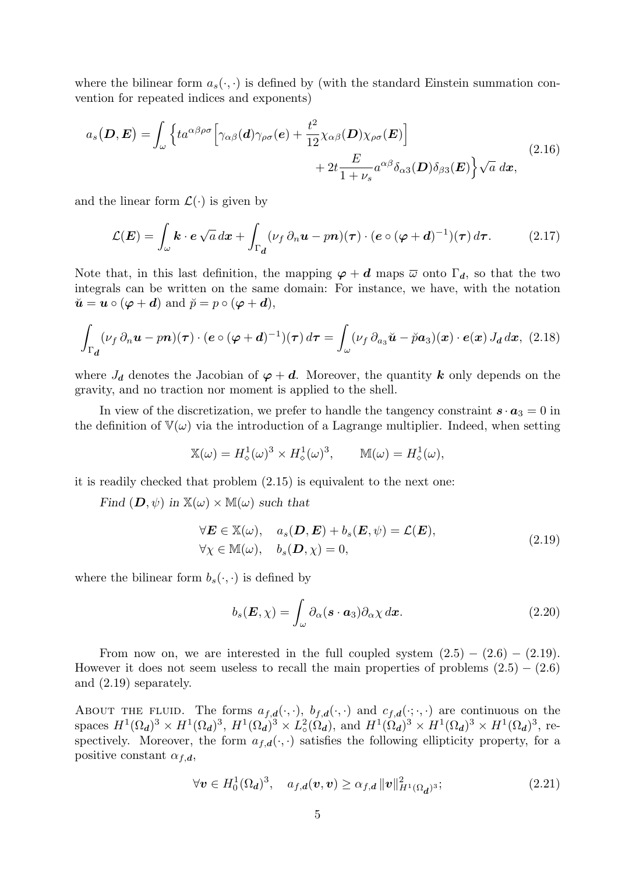where the bilinear form  $a_s(\cdot, \cdot)$  is defined by (with the standard Einstein summation convention for repeated indices and exponents)

$$
a_s(\mathbf{D}, \mathbf{E}) = \int_{\omega} \left\{ t a^{\alpha \beta \rho \sigma} \left[ \gamma_{\alpha \beta}(\mathbf{d}) \gamma_{\rho \sigma}(\mathbf{e}) + \frac{t^2}{12} \chi_{\alpha \beta}(\mathbf{D}) \chi_{\rho \sigma}(\mathbf{E}) \right] + 2t \frac{E}{1 + \nu_s} a^{\alpha \beta} \delta_{\alpha 3}(\mathbf{D}) \delta_{\beta 3}(\mathbf{E}) \right\} \sqrt{a} \, d\mathbf{x}, \tag{2.16}
$$

and the linear form  $\mathcal{L}(\cdot)$  is given by

$$
\mathcal{L}(\boldsymbol{E}) = \int_{\omega} \boldsymbol{k} \cdot \boldsymbol{e} \sqrt{a} \, dx + \int_{\Gamma_{d}} (\nu_{f} \, \partial_{n} \boldsymbol{u} - p \boldsymbol{n}) (\boldsymbol{\tau}) \cdot (\boldsymbol{e} \circ (\boldsymbol{\varphi} + \boldsymbol{d})^{-1}) (\boldsymbol{\tau}) \, d \boldsymbol{\tau}.
$$
 (2.17)

Note that, in this last definition, the mapping  $\varphi + d$  maps  $\overline{\omega}$  onto  $\Gamma_d$ , so that the two integrals can be written on the same domain: For instance, we have, with the notation  $\breve{\mathbf{u}} = \mathbf{u} \circ (\boldsymbol{\varphi} + \boldsymbol{d})$  and  $\breve{p} = p \circ (\boldsymbol{\varphi} + \boldsymbol{d}),$ 

$$
\int_{\Gamma_{d}} (\nu_{f} \, \partial_{n} \boldsymbol{u} - p \boldsymbol{n}) (\boldsymbol{\tau}) \cdot (\boldsymbol{e} \circ (\boldsymbol{\varphi} + d)^{-1}) (\boldsymbol{\tau}) d\boldsymbol{\tau} = \int_{\omega} (\nu_{f} \, \partial_{a_{3}} \boldsymbol{\check{u}} - \boldsymbol{\check{p}} a_{3}) (\boldsymbol{x}) \cdot \boldsymbol{e} (\boldsymbol{x}) J_{d} d\boldsymbol{x}, \tag{2.18}
$$

where  $J_d$  denotes the Jacobian of  $\varphi + d$ . Moreover, the quantity k only depends on the gravity, and no traction nor moment is applied to the shell.

In view of the discretization, we prefer to handle the tangency constraint  $\mathbf{s} \cdot \mathbf{a}_3 = 0$  in the definition of  $V(\omega)$  via the introduction of a Lagrange multiplier. Indeed, when setting

$$
\mathbb{X}(\omega) = H^1_{\diamond}(\omega)^3 \times H^1_{\diamond}(\omega)^3, \qquad \mathbb{M}(\omega) = H^1_{\diamond}(\omega),
$$

it is readily checked that problem (2.15) is equivalent to the next one:

Find  $(D, \psi)$  in  $\mathbb{X}(\omega) \times \mathbb{M}(\omega)$  such that

$$
\forall \mathbf{E} \in \mathbb{X}(\omega), \quad a_s(\mathbf{D}, \mathbf{E}) + b_s(\mathbf{E}, \psi) = \mathcal{L}(\mathbf{E}),
$$
  

$$
\forall \chi \in \mathbb{M}(\omega), \quad b_s(\mathbf{D}, \chi) = 0,
$$
 (2.19)

where the bilinear form  $b_s(\cdot, \cdot)$  is defined by

$$
b_s(\boldsymbol{E}, \chi) = \int_{\omega} \partial_{\alpha} (\boldsymbol{s} \cdot \boldsymbol{a}_3) \partial_{\alpha} \chi \, d\boldsymbol{x}.
$$
 (2.20)

From now on, we are interested in the full coupled system  $(2.5) - (2.6) - (2.19)$ . However it does not seem useless to recall the main properties of problems  $(2.5) - (2.6)$ and (2.19) separately.

About the fluid. The forms  $a_{f,d}(\cdot,\cdot)$ ,  $b_{f,d}(\cdot,\cdot)$  and  $c_{f,d}(\cdot,\cdot)$  are continuous on the spaces  $H^1(\Omega_d)^3 \times H^1(\Omega_d)^3$ ,  $H^1(\Omega_d)^3 \times L^2_{\infty}$  $\frac{2}{\circ}(\Omega_d)$ , and  $H^1(\Omega_d)^3 \times H^1(\Omega_d)^3 \times H^1(\Omega_d)^3$ , respectively. Moreover, the form  $a_{f,d}(\cdot, \cdot)$  satisfies the following ellipticity property, for a positive constant  $\alpha_{f,d}$ ,

$$
\forall \mathbf{v} \in H_0^1(\Omega_d)^3, \quad a_{f,d}(\mathbf{v}, \mathbf{v}) \ge \alpha_{f,d} \, \|\mathbf{v}\|_{H^1(\Omega_d)^3}^2; \tag{2.21}
$$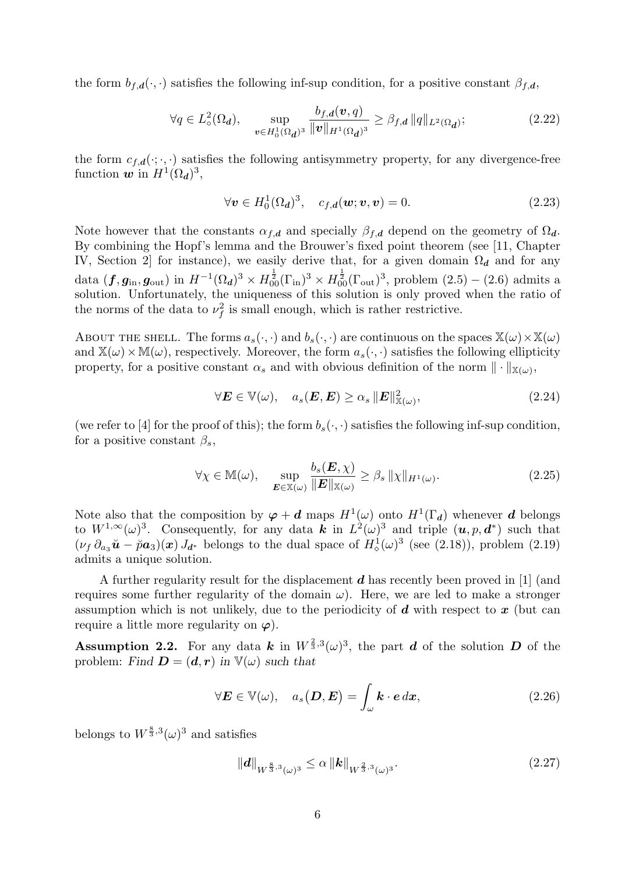the form  $b_{f,d}(\cdot, \cdot)$  satisfies the following inf-sup condition, for a positive constant  $\beta_{f,d}$ ,

$$
\forall q \in L^2_o(\Omega_d), \quad \sup_{\bm{v} \in H^1_o(\Omega_d)^3} \frac{b_{f,d}(\bm{v}, q)}{\|\bm{v}\|_{H^1(\Omega_d)^3}} \ge \beta_{f,d} \|q\|_{L^2(\Omega_d)}; \tag{2.22}
$$

the form  $c_{f,d}(\cdot;\cdot,\cdot)$  satisfies the following antisymmetry property, for any divergence-free function  $w$  in  $H^1(\Omega_d)^3$ ,

$$
\forall \mathbf{v} \in H_0^1(\Omega_d)^3, \quad c_{f,d}(\mathbf{w}; \mathbf{v}, \mathbf{v}) = 0. \tag{2.23}
$$

Note however that the constants  $\alpha_{f,d}$  and specially  $\beta_{f,d}$  depend on the geometry of  $\Omega_d$ . By combining the Hopf's lemma and the Brouwer's fixed point theorem (see [11, Chapter IV, Section 2] for instance), we easily derive that, for a given domain  $\Omega_d$  and for any data  $(f, g_{\text{in}}, g_{\text{out}})$  in  $H^{-1}(\Omega_d)^3 \times H_{00}^{\frac{1}{2}}(\Gamma_{\text{in}})^3 \times H_{00}^{\frac{1}{2}}(\Gamma_{\text{out}})^3$ , problem  $(2.5) - (2.6)$  admits a solution. Unfortunately, the uniqueness of this solution is only proved when the ratio of the norms of the data to  $\nu_f^2$  is small enough, which is rather restrictive.

ABOUT THE SHELL. The forms  $a_s(\cdot, \cdot)$  and  $b_s(\cdot, \cdot)$  are continuous on the spaces  $\mathbb{X}(\omega) \times \mathbb{X}(\omega)$ and  $\mathbb{X}(\omega)\times\mathbb{M}(\omega)$ , respectively. Moreover, the form  $a_s(\cdot, \cdot)$  satisfies the following ellipticity property, for a positive constant  $\alpha_s$  and with obvious definition of the norm  $\|\cdot\|_{\mathbb{X}(\omega)}$ ,

$$
\forall \mathbf{E} \in \mathbb{V}(\omega), \quad a_s(\mathbf{E}, \mathbf{E}) \ge \alpha_s \|\mathbf{E}\|_{\mathbb{X}(\omega)}^2,
$$
\n(2.24)

(we refer to [4] for the proof of this); the form  $b_s(\cdot, \cdot)$  satisfies the following inf-sup condition, for a positive constant  $\beta_s$ ,

$$
\forall \chi \in \mathbb{M}(\omega), \quad \sup_{\boldsymbol{E} \in \mathbb{X}(\omega)} \frac{b_s(\boldsymbol{E}, \chi)}{\|\boldsymbol{E}\|_{\mathbb{X}(\omega)}} \ge \beta_s \|\chi\|_{H^1(\omega)}.
$$
 (2.25)

Note also that the composition by  $\varphi + d$  maps  $H^1(\omega)$  onto  $H^1(\Gamma_d)$  whenever d belongs to  $W^{1,\infty}(\omega)^3$ . Consequently, for any data k in  $L^2(\omega)^3$  and triple  $(\boldsymbol{u}, p, \boldsymbol{d}^*)$  such that  $(\nu_f \partial_{a_3} \tilde{\boldsymbol{u}} - \tilde{p} \boldsymbol{a}_3)(\boldsymbol{x}) J_{d^*}$  belongs to the dual space of  $H^1_o(\omega)^3$  (see (2.18)), problem (2.19) admits a unique solution.

A further regularity result for the displacement  $d$  has recently been proved in [1] (and requires some further regularity of the domain  $\omega$ ). Here, we are led to make a stronger assumption which is not unlikely, due to the periodicity of  $d$  with respect to  $x$  (but can require a little more regularity on  $\varphi$ ).

**Assumption 2.2.** For any data k in  $W^{\frac{2}{3},3}(\omega)^3$ , the part d of the solution D of the problem: Find  $\mathbf{D} = (\mathbf{d}, \mathbf{r})$  in  $\mathbb{V}(\omega)$  such that

$$
\forall \boldsymbol{E} \in \mathbb{V}(\omega), \quad a_s(\boldsymbol{D}, \boldsymbol{E}) = \int_{\omega} \boldsymbol{k} \cdot \boldsymbol{e} \, d\boldsymbol{x}, \tag{2.26}
$$

belongs to  $W^{\frac{8}{3},3}(\omega)^3$  and satisfies

$$
\|d\|_{W^{\frac{8}{3},3}(\omega)^3} \le \alpha \|k\|_{W^{\frac{2}{3},3}(\omega)^3}.
$$
\n(2.27)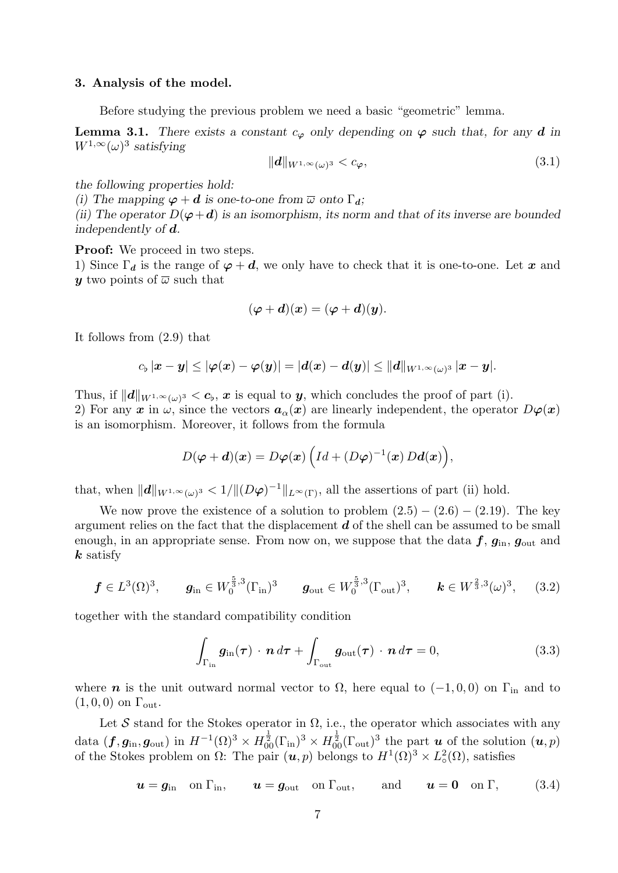#### 3. Analysis of the model.

Before studying the previous problem we need a basic "geometric" lemma.

**Lemma 3.1.** There exists a constant  $c_{\varphi}$  only depending on  $\varphi$  such that, for any d in  $W^{1,\infty}(\omega)^3$  satisfying

$$
\|\mathbf{d}\|_{W^{1,\infty}(\omega)^3} < c_\varphi,\tag{3.1}
$$

the following properties hold:

(i) The mapping  $\varphi + d$  is one-to-one from  $\overline{\omega}$  onto  $\Gamma_d$ ;

(ii) The operator  $D(\varphi + d)$  is an isomorphism, its norm and that of its inverse are bounded independently of d.

**Proof:** We proceed in two steps.

1) Since  $\Gamma_d$  is the range of  $\varphi + d$ , we only have to check that it is one-to-one. Let x and y two points of  $\overline{\omega}$  such that

$$
(\boldsymbol{\varphi}+\boldsymbol{d})(\boldsymbol{x})=(\boldsymbol{\varphi}+\boldsymbol{d})(\boldsymbol{y}).
$$

It follows from (2.9) that

$$
c_\flat\,|\boldsymbol{x}-\boldsymbol{y}|\leq |\boldsymbol{\varphi}(\boldsymbol{x})-\boldsymbol{\varphi}(\boldsymbol{y})|=|\boldsymbol{d}(\boldsymbol{x})-\boldsymbol{d}(\boldsymbol{y})|\leq \|\boldsymbol{d}\|_{W^{1,\infty}(\omega)^3}\,|\boldsymbol{x}-\boldsymbol{y}|.
$$

Thus, if  $||d||_{W^{1,\infty}(\omega)^3} < c_{\flat}, x$  is equal to y, which concludes the proof of part (i). 2) For any x in  $\omega$ , since the vectors  $a_{\alpha}(x)$  are linearly independent, the operator  $D\varphi(x)$ is an isomorphism. Moreover, it follows from the formula

$$
D(\boldsymbol{\varphi}+\boldsymbol{d})(\boldsymbol{x})=D\boldsymbol{\varphi}(\boldsymbol{x})\left(Id+(D\boldsymbol{\varphi})^{-1}(\boldsymbol{x})\,D\boldsymbol{d}(\boldsymbol{x})\right),
$$

that, when  $||\mathbf{d}||_{W^{1,\infty}(\omega)^3} < 1/||(D\varphi)^{-1}||_{L^{\infty}(\Gamma)}$ , all the assertions of part (ii) hold.

We now prove the existence of a solution to problem  $(2.5) - (2.6) - (2.19)$ . The key argument relies on the fact that the displacement  $d$  of the shell can be assumed to be small enough, in an appropriate sense. From now on, we suppose that the data  $f, g_{\text{in}}, g_{\text{out}}$  and  $k$  satisfy

$$
f \in L^{3}(\Omega)^{3}
$$
,  $g_{\text{in}} \in W_{0}^{\frac{5}{3},3}(\Gamma_{\text{in}})^{3}$   $g_{\text{out}} \in W_{0}^{\frac{5}{3},3}(\Gamma_{\text{out}})^{3}$ ,  $k \in W^{\frac{2}{3},3}(\omega)^{3}$ , (3.2)

together with the standard compatibility condition

$$
\int_{\Gamma_{\rm in}} \mathbf{g}_{\rm in}(\boldsymbol{\tau}) \cdot \boldsymbol{n} \, d\boldsymbol{\tau} + \int_{\Gamma_{\rm out}} \mathbf{g}_{\rm out}(\boldsymbol{\tau}) \cdot \boldsymbol{n} \, d\boldsymbol{\tau} = 0, \tag{3.3}
$$

where *n* is the unit outward normal vector to  $\Omega$ , here equal to (-1, 0, 0) on  $\Gamma_{\text{in}}$  and to  $(1, 0, 0)$  on  $\Gamma_{\text{out}}$ .

Let S stand for the Stokes operator in  $\Omega$ , i.e., the operator which associates with any data  $(f, g_{\text{in}}, g_{\text{out}})$  in  $H^{-1}(\Omega)^3 \times H_{00}^{\frac{1}{2}}(\Gamma_{\text{in}})^3 \times H_{00}^{\frac{1}{2}}(\Gamma_{\text{out}})^3$  the part  $u$  of the solution  $(u, p)$ of the Stokes problem on  $\Omega$ : The pair  $(\boldsymbol{u}, p)$  belongs to  $H^1(\Omega)^3 \times L^2_{\sigma}$  $_{\circ}^{2}(\Omega)$ , satisfies

$$
\boldsymbol{u} = \boldsymbol{g}_{\text{in}} \quad \text{on } \Gamma_{\text{in}}, \qquad \boldsymbol{u} = \boldsymbol{g}_{\text{out}} \quad \text{on } \Gamma_{\text{out}}, \qquad \text{and} \qquad \boldsymbol{u} = \boldsymbol{0} \quad \text{on } \Gamma, \tag{3.4}
$$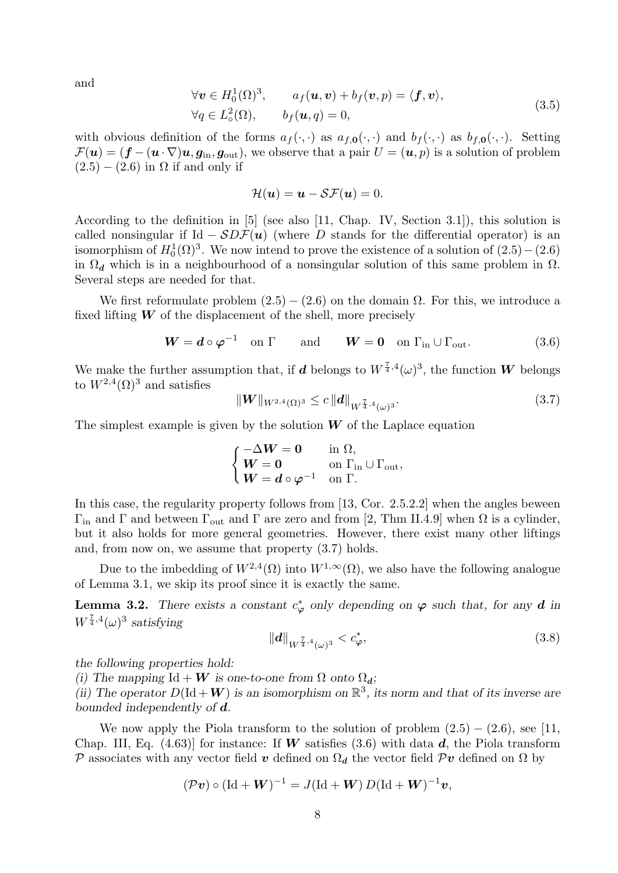and

$$
\forall \mathbf{v} \in H_0^1(\Omega)^3, \qquad a_f(\mathbf{u}, \mathbf{v}) + b_f(\mathbf{v}, p) = \langle \mathbf{f}, \mathbf{v} \rangle, \n\forall q \in L_\circ^2(\Omega), \qquad b_f(\mathbf{u}, q) = 0,
$$
\n(3.5)

with obvious definition of the forms  $a_f(\cdot, \cdot)$  as  $a_{f,0}(\cdot, \cdot)$  and  $b_f(\cdot, \cdot)$  as  $b_{f,0}(\cdot, \cdot)$ . Setting  $\mathcal{F}(\boldsymbol{u}) = (\boldsymbol{f} - (\boldsymbol{u} \cdot \nabla) \boldsymbol{u}, \boldsymbol{g}_{\text{in}}, \boldsymbol{g}_{\text{out}})$ , we observe that a pair  $U = (\boldsymbol{u}, p)$  is a solution of problem  $(2.5) - (2.6)$  in  $\Omega$  if and only if

$$
\mathcal{H}(\boldsymbol{u}) = \boldsymbol{u} - \mathcal{S}\mathcal{F}(\boldsymbol{u}) = 0.
$$

According to the definition in [5] (see also [11, Chap. IV, Section 3.1]), this solution is called nonsingular if Id  $-SDF(u)$  (where D stands for the differential operator) is an isomorphism of  $H_0^1(\Omega)^3$ . We now intend to prove the existence of a solution of  $(2.5)-(2.6)$ in  $\Omega_d$  which is in a neighbourhood of a nonsingular solution of this same problem in  $\Omega$ . Several steps are needed for that.

We first reformulate problem  $(2.5) - (2.6)$  on the domain  $\Omega$ . For this, we introduce a fixed lifting  $W$  of the displacement of the shell, more precisely

$$
W = d \circ \varphi^{-1} \quad \text{on } \Gamma \qquad \text{and} \qquad W = 0 \quad \text{on } \Gamma_{\text{in}} \cup \Gamma_{\text{out}}. \tag{3.6}
$$

We make the further assumption that, if d belongs to  $W^{\frac{7}{4},4}(\omega)^3$ , the function W belongs to  $W^{2,4}(\Omega)^3$  and satisfies

$$
\|W\|_{W^{2,4}(\Omega)^3} \leq c \|d\|_{W^{\frac{7}{4},4}(\omega)^3}.
$$
\n(3.7)

The simplest example is given by the solution  $W$  of the Laplace equation

$$
\begin{cases}\n-\Delta W = 0 & \text{in } \Omega, \\
W = 0 & \text{on } \Gamma_{\text{in}} \cup \Gamma_{\text{out}}, \\
W = d \circ \varphi^{-1} & \text{on } \Gamma.\n\end{cases}
$$

In this case, the regularity property follows from [13, Cor. 2.5.2.2] when the angles beween  $Γ_{in}$  and Γ and between  $Γ_{out}$  and Γ are zero and from [2, Thm II.4.9] when Ω is a cylinder, but it also holds for more general geometries. However, there exist many other liftings and, from now on, we assume that property (3.7) holds.

Due to the imbedding of  $W^{2,4}(\Omega)$  into  $W^{1,\infty}(\Omega)$ , we also have the following analogue of Lemma 3.1, we skip its proof since it is exactly the same.

**Lemma 3.2.** There exists a constant  $c^*_{\varphi}$  only depending on  $\varphi$  such that, for any **d** in  $W^{\frac{7}{4},4}(\omega)^3$  satisfying

$$
||d||_{W^{\frac{7}{4},4}(\omega)^3} < c^*_{\varphi},\tag{3.8}
$$

the following properties hold:

(i) The mapping Id + W is one-to-one from  $\Omega$  onto  $\Omega_d$ ;

(ii) The operator  $D(\text{Id} + W)$  is an isomorphism on  $\mathbb{R}^3$ , its norm and that of its inverse are bounded independently of d.

We now apply the Piola transform to the solution of problem  $(2.5) - (2.6)$ , see [11, Chap. III, Eq. (4.63)] for instance: If W satisfies (3.6) with data d, the Piola transform P associates with any vector field v defined on  $\Omega_d$  the vector field Pv defined on  $\Omega$  by

$$
(\mathcal{P} \boldsymbol{v}) \circ (\mathrm{Id} + \boldsymbol{W})^{-1} = J(\mathrm{Id} + \boldsymbol{W}) D(\mathrm{Id} + \boldsymbol{W})^{-1} \boldsymbol{v},
$$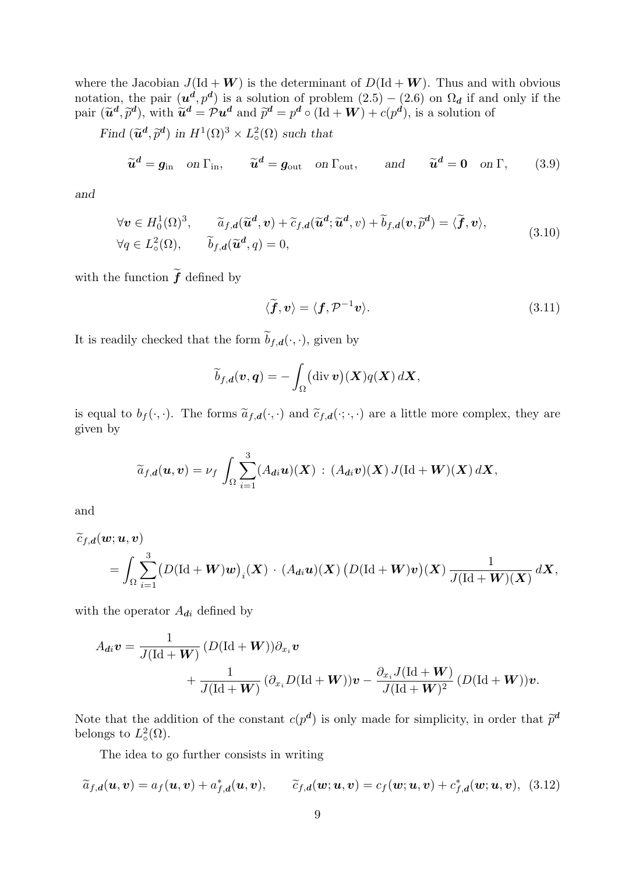where the Jacobian  $J(\text{Id} + W)$  is the determinant of  $D(\text{Id} + W)$ . Thus and with obvious notation, the pair  $(u^d, p^d)$  is a solution of problem  $(2.5) - (2.6)$  on  $\Omega_d$  if and only if the pair  $(\tilde{u}^d, \tilde{p}^d)$ , with  $\tilde{u}^d = \mathcal{P}u^d$  and  $\tilde{p}^d = p^d \circ (\text{Id} + W) + c(p^d)$ , is a solution of

Find  $(\widetilde{u}^d, \widetilde{p}^d)$  in  $H^1(\Omega)^3 \times L^2_{\infty}$  $_{\circ}^{2}(\Omega)$  such that

$$
\widetilde{u}^d = g_{\text{in}} \quad \text{on } \Gamma_{\text{in}}, \qquad \widetilde{u}^d = g_{\text{out}} \quad \text{on } \Gamma_{\text{out}}, \qquad \text{and} \qquad \widetilde{u}^d = 0 \quad \text{on } \Gamma, \qquad (3.9)
$$

and

$$
\forall \mathbf{v} \in H_0^1(\Omega)^3, \qquad \widetilde{a}_{f,d}(\widetilde{\mathbf{u}}^d, \mathbf{v}) + \widetilde{c}_{f,d}(\widetilde{\mathbf{u}}^d; \widetilde{\mathbf{u}}^d, v) + \widetilde{b}_{f,d}(\mathbf{v}, \widetilde{p}^d) = \langle \widetilde{\boldsymbol{f}}, \mathbf{v} \rangle, \forall q \in L_\circ^2(\Omega), \qquad \widetilde{b}_{f,d}(\widetilde{\mathbf{u}}^d, q) = 0,
$$
\n(3.10)

with the function  $\widetilde{\bm{f}}$  defined by

$$
\langle \widetilde{\boldsymbol{f}}, \boldsymbol{v} \rangle = \langle \boldsymbol{f}, \mathcal{P}^{-1} \boldsymbol{v} \rangle. \tag{3.11}
$$

It is readily checked that the form  $\widetilde{b}_{f,d}(\cdot,\cdot),$  given by

$$
\widetilde{b}_{f,d}(\boldsymbol{v},\boldsymbol{q})=-\int_{\Omega}(\text{div}\,\boldsymbol{v})(\boldsymbol{X})q(\boldsymbol{X})\,d\boldsymbol{X},
$$

is equal to  $b_f(\cdot, \cdot)$ . The forms  $\tilde{a}_{f,d}(\cdot, \cdot)$  and  $\tilde{c}_{f,d}(\cdot, \cdot, \cdot)$  are a little more complex, they are given by

$$
\widetilde{a}_{f,d}(\boldsymbol{u},\boldsymbol{v})=\nu_f\,\int_{\Omega}\sum_{i=1}^3(A_{di}\boldsymbol{u})(\boldsymbol{X})\,:\,(A_{di}\boldsymbol{v})(\boldsymbol{X})\,J(\mathrm{Id}+\boldsymbol{W})(\boldsymbol{X})\,d\boldsymbol{X},
$$

and

$$
\widetilde{c}_{f,d}(\boldsymbol{w}; \boldsymbol{u}, \boldsymbol{v}) = \int_{\Omega} \sum_{i=1}^{3} (D(\mathrm{Id} + \boldsymbol{W}) \boldsymbol{w})_{i}(\boldsymbol{X}) \cdot (A_{di} \boldsymbol{u})(\boldsymbol{X}) (D(\mathrm{Id} + \boldsymbol{W}) \boldsymbol{v})(\boldsymbol{X}) \frac{1}{J(\mathrm{Id} + \boldsymbol{W})(\boldsymbol{X})} d\boldsymbol{X},
$$

with the operator  $A_{di}$  defined by

$$
A_{di}\boldsymbol{v} = \frac{1}{J(\mathrm{Id} + \boldsymbol{W})} \left( D(\mathrm{Id} + \boldsymbol{W}) \right) \partial_{x_i} \boldsymbol{v} + \frac{1}{J(\mathrm{Id} + \boldsymbol{W})} \left( \partial_{x_i} D(\mathrm{Id} + \boldsymbol{W}) \right) \boldsymbol{v} - \frac{\partial_{x_i} J(\mathrm{Id} + \boldsymbol{W})}{J(\mathrm{Id} + \boldsymbol{W})^2} \left( D(\mathrm{Id} + \boldsymbol{W}) \right) \boldsymbol{v}.
$$

Note that the addition of the constant  $c(p^d)$  is only made for simplicity, in order that  $\tilde{p}^d$ belongs to  $L^2_{\circ}$  $_{\circ}^{2}(\Omega).$ 

The idea to go further consists in writing

$$
\widetilde{a}_{f,d}(\boldsymbol{u},\boldsymbol{v})=a_f(\boldsymbol{u},\boldsymbol{v})+a_{f,d}^*(\boldsymbol{u},\boldsymbol{v}),\qquad \widetilde{c}_{f,d}(\boldsymbol{w};\boldsymbol{u},\boldsymbol{v})=c_f(\boldsymbol{w};\boldsymbol{u},\boldsymbol{v})+c_{f,d}^*(\boldsymbol{w};\boldsymbol{u},\boldsymbol{v}),\tag{3.12}
$$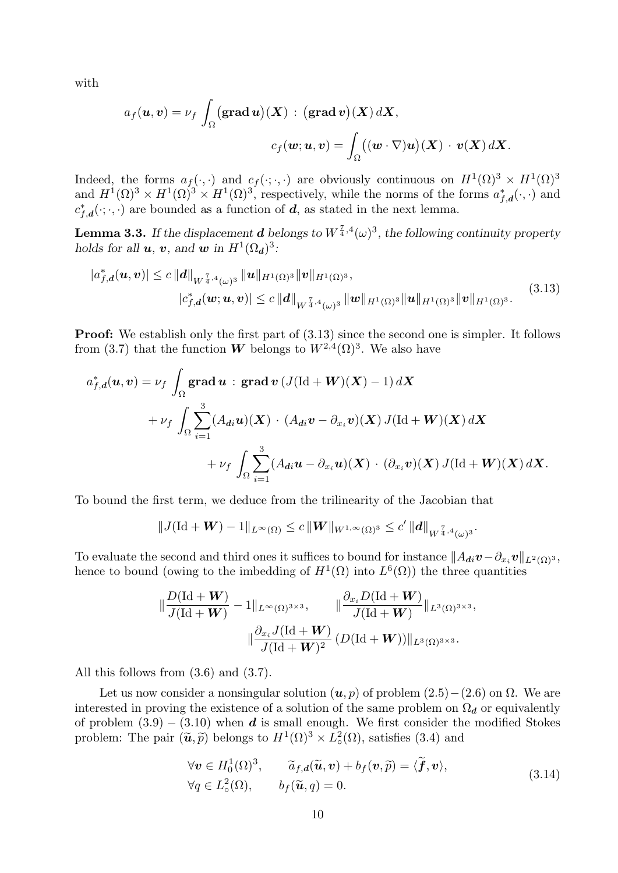with

$$
a_f(\boldsymbol{u}, \boldsymbol{v}) = \nu_f \int_{\Omega} (\mathbf{grad } \boldsymbol{u})(\boldsymbol{X}) : (\mathbf{grad } \boldsymbol{v})(\boldsymbol{X}) d\boldsymbol{X},
$$

$$
c_f(\boldsymbol{w}; \boldsymbol{u}, \boldsymbol{v}) = \int_{\Omega} ((\boldsymbol{w} \cdot \nabla) \boldsymbol{u})(\boldsymbol{X}) \cdot \boldsymbol{v}(\boldsymbol{X}) d\boldsymbol{X}.
$$

Indeed, the forms  $a_f(\cdot, \cdot)$  and  $c_f(\cdot, \cdot, \cdot)$  are obviously continuous on  $H^1(\Omega)^3 \times H^1(\Omega)^3$ and  $H^1(\Omega)^3 \times H^1(\Omega)^3 \times H^1(\Omega)^3$ , respectively, while the norms of the forms  $a_{f,d}^*(\cdot, \cdot)$  and  $c_{f,d}^*(\cdot;\cdot,\cdot)$  are bounded as a function of  $\boldsymbol{d}$ , as stated in the next lemma.

**Lemma 3.3.** If the displacement **d** belongs to  $W^{\frac{7}{4},4}(\omega)^3$ , the following continuity property holds for all  $u, v$ , and  $w$  in  $H^1(\Omega_d)^3$ :

$$
|a_{f,d}^{*}(\boldsymbol{u},\boldsymbol{v})| \leq c \, \|\boldsymbol{d}\|_{W^{\frac{7}{4},4}(\omega)^{3}} \, \|\boldsymbol{u}\|_{H^{1}(\Omega)^{3}} \|\boldsymbol{v}\|_{H^{1}(\Omega)^{3}},
$$
\n
$$
|c_{f,d}^{*}(\boldsymbol{w};\boldsymbol{u},\boldsymbol{v})| \leq c \, \|\boldsymbol{d}\|_{W^{\frac{7}{4},4}(\omega)^{3}} \, \|\boldsymbol{w}\|_{H^{1}(\Omega)^{3}} \|\boldsymbol{u}\|_{H^{1}(\Omega)^{3}} \|\boldsymbol{v}\|_{H^{1}(\Omega)^{3}}.
$$
\n(3.13)

**Proof:** We establish only the first part of  $(3.13)$  since the second one is simpler. It follows from (3.7) that the function **W** belongs to  $W^{2,4}(\Omega)^3$ . We also have

$$
a_{f,d}^{*}(u,v) = \nu_{f} \int_{\Omega} \mathbf{grad} u : \mathbf{grad} v (J(\mathrm{Id} + W)(X) - 1) dX
$$
  
+ 
$$
\nu_{f} \int_{\Omega} \sum_{i=1}^{3} (A_{di} u)(X) \cdot (A_{di} v - \partial_{x_{i}} v)(X) J(\mathrm{Id} + W)(X) dX
$$
  
+ 
$$
\nu_{f} \int_{\Omega} \sum_{i=1}^{3} (A_{di} u - \partial_{x_{i}} u)(X) \cdot (\partial_{x_{i}} v)(X) J(\mathrm{Id} + W)(X) dX.
$$

To bound the first term, we deduce from the trilinearity of the Jacobian that

$$
||J(\mathrm{Id} + \mathbf{W}) - 1||_{L^{\infty}(\Omega)} \leq c ||\mathbf{W}||_{W^{1,\infty}(\Omega)^3} \leq c' ||\mathbf{d}||_{W^{\frac{7}{4},4}(\omega)^3}.
$$

To evaluate the second and third ones it suffices to bound for instance  $||A_{di}v - \partial_{x_i}v||_{L^2(\Omega)^3}$ , hence to bound (owing to the imbedding of  $H^1(\Omega)$  into  $L^6(\Omega)$ ) the three quantities

$$
\|\frac{D(\mathrm{Id} + \mathbf{W})}{J(\mathrm{Id} + \mathbf{W})} - 1\|_{L^{\infty}(\Omega)^{3 \times 3}}, \qquad \|\frac{\partial_{x_i} D(\mathrm{Id} + \mathbf{W})}{J(\mathrm{Id} + \mathbf{W})}\|_{L^3(\Omega)^{3 \times 3}},
$$

$$
\|\frac{\partial_{x_i} J(\mathrm{Id} + \mathbf{W})}{J(\mathrm{Id} + \mathbf{W})^2} (D(\mathrm{Id} + \mathbf{W}))\|_{L^3(\Omega)^{3 \times 3}}.
$$

All this follows from (3.6) and (3.7).

Let us now consider a nonsingular solution  $(u, p)$  of problem  $(2.5) - (2.6)$  on  $\Omega$ . We are interested in proving the existence of a solution of the same problem on  $\Omega_d$  or equivalently of problem  $(3.9) - (3.10)$  when d is small enough. We first consider the modified Stokes problem: The pair  $(\tilde{\mathbf{u}}, \tilde{p})$  belongs to  $H^1(\Omega)^3 \times L^2_{\infty}$  $\mathcal{L}^2_{\circ}(\Omega)$ , satisfies (3.4) and

$$
\forall \mathbf{v} \in H_0^1(\Omega)^3, \qquad \widetilde{a}_{f,d}(\widetilde{\mathbf{u}}, \mathbf{v}) + b_f(\mathbf{v}, \widetilde{p}) = \langle \widetilde{\mathbf{f}}, \mathbf{v} \rangle, \n\forall q \in L_\circ^2(\Omega), \qquad b_f(\widetilde{\mathbf{u}}, q) = 0.
$$
\n(3.14)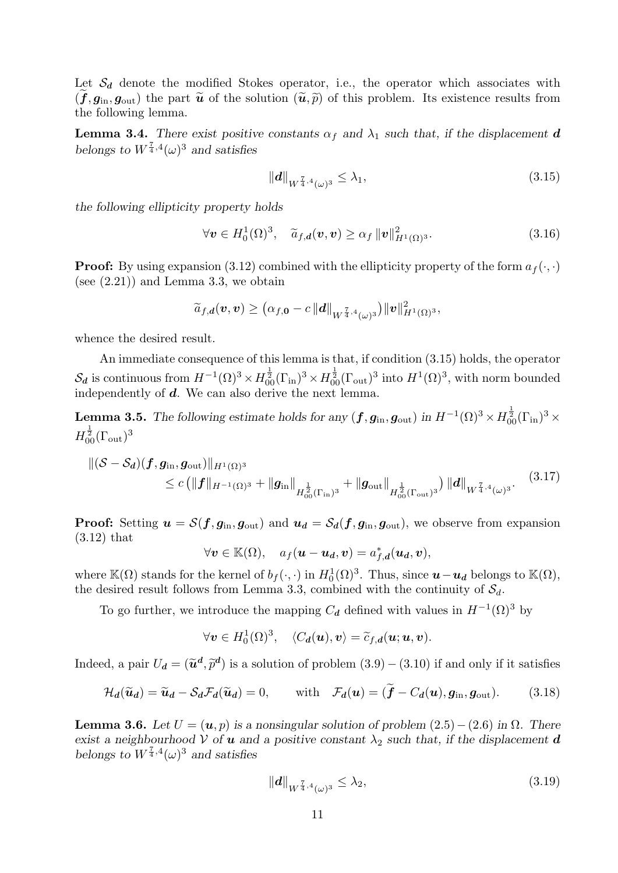Let  $S_d$  denote the modified Stokes operator, i.e., the operator which associates with  $(\tilde{f}, g_{\text{in}}, g_{\text{out}})$  the part  $\tilde{u}$  of the solution  $(\tilde{u}, \tilde{p})$  of this problem. Its existence results from the following lemma.

**Lemma 3.4.** There exist positive constants  $\alpha_f$  and  $\lambda_1$  such that, if the displacement d belongs to  $W^{\frac{7}{4},4}(\omega)^3$  and satisfies

$$
||d||_{W^{\frac{7}{4},4}(\omega)^3} \leq \lambda_1,\tag{3.15}
$$

the following ellipticity property holds

$$
\forall \mathbf{v} \in H_0^1(\Omega)^3, \quad \widetilde{a}_{f,d}(\mathbf{v}, \mathbf{v}) \ge \alpha_f \, \|\mathbf{v}\|_{H^1(\Omega)^3}^2. \tag{3.16}
$$

**Proof:** By using expansion (3.12) combined with the ellipticity property of the form  $a_f(\cdot, \cdot)$ (see  $(2.21)$ ) and Lemma 3.3, we obtain

$$
\widetilde{a}_{f,\boldsymbol{d}}(\boldsymbol{v},\boldsymbol{v})\geq \big(\alpha_{f,\boldsymbol{0}}-c\,\|\boldsymbol{d}\|_{W^{\frac{7}{4},4}(\omega)^{3}}\big)\|\boldsymbol{v}\|_{H^1(\Omega)^{3}}^2,
$$

whence the desired result.

An immediate consequence of this lemma is that, if condition (3.15) holds, the operator  $\mathcal{S}_d$  is continuous from  $H^{-1}(\Omega)^3 \times H^{\frac{1}{2}}_{00}(\Gamma_{\text{in}})^3 \times H^{\frac{1}{2}}_{00}(\Gamma_{\text{out}})^3$  into  $H^1(\Omega)^3$ , with norm bounded independently of  $d$ . We can also derive the next lemma.

**Lemma 3.5.** The following estimate holds for any  $(f, g_{\text{in}}, g_{\text{out}})$  in  $H^{-1}(\Omega)^3 \times H_{00}^{\frac{1}{2}}(\Gamma_{\text{in}})^3 \times$  $H^{\frac{1}{2}}_{00}(\Gamma_{\rm out})^3$ 

$$
\|(\mathcal{S} - \mathcal{S}_{\mathbf{d}})(\mathbf{f}, \mathbf{g}_{\text{in}}, \mathbf{g}_{\text{out}})\|_{H^1(\Omega)^3} \n\leq c \left( \|\mathbf{f}\|_{H^{-1}(\Omega)^3} + \|\mathbf{g}_{\text{in}}\|_{H^{\frac{1}{2}}_{00}(\Gamma_{\text{in}})^3} + \|\mathbf{g}_{\text{out}}\|_{H^{\frac{1}{2}}_{00}(\Gamma_{\text{out}})^3} \right) \|\mathbf{d}\|_{W^{\frac{7}{4},4}(\omega)^3}.
$$
\n(3.17)

**Proof:** Setting  $u = S(f, g_{\text{in}}, g_{\text{out}})$  and  $u_d = S_d(f, g_{\text{in}}, g_{\text{out}})$ , we observe from expansion (3.12) that

$$
\forall \boldsymbol{v} \in \mathbb{K}(\Omega), \quad a_f(\boldsymbol{u}-\boldsymbol{u_d}, \boldsymbol{v}) = a_{f,\boldsymbol{d}}^*(\boldsymbol{u_d}, \boldsymbol{v}),
$$

where  $\mathbb{K}(\Omega)$  stands for the kernel of  $b_f(\cdot, \cdot)$  in  $H_0^1(\Omega)^3$ . Thus, since  $u-u_d$  belongs to  $\mathbb{K}(\Omega)$ , the desired result follows from Lemma 3.3, combined with the continuity of  $S_d$ .

To go further, we introduce the mapping  $C_d$  defined with values in  $H^{-1}(\Omega)^3$  by

$$
\forall \boldsymbol{v} \in H_0^1(\Omega)^3, \quad \langle C_{\boldsymbol{d}}(\boldsymbol{u}), \boldsymbol{v} \rangle = \widetilde{c}_{f, \boldsymbol{d}}(\boldsymbol{u}; \boldsymbol{u}, \boldsymbol{v}).
$$

Indeed, a pair  $U_d = (\tilde{u}^d, \tilde{p}^d)$  is a solution of problem  $(3.9) - (3.10)$  if and only if it satisfies

$$
\mathcal{H}_d(\widetilde{\mathbf{u}}_d) = \widetilde{\mathbf{u}}_d - \mathcal{S}_d \mathcal{F}_d(\widetilde{\mathbf{u}}_d) = 0, \quad \text{with} \quad \mathcal{F}_d(\mathbf{u}) = (\widetilde{\mathbf{f}} - C_d(\mathbf{u}), \mathbf{g}_{\text{in}}, \mathbf{g}_{\text{out}}). \tag{3.18}
$$

**Lemma 3.6.** Let  $U = (u, p)$  is a nonsingular solution of problem  $(2.5) - (2.6)$  in  $\Omega$ . There exist a neighbourhood V of **u** and a positive constant  $\lambda_2$  such that, if the displacement **d** belongs to  $W^{\frac{7}{4},4}(\omega)^3$  and satisfies

$$
\|\boldsymbol{d}\|_{W^{\frac{7}{4},4}(\omega)^3} \le \lambda_2,\tag{3.19}
$$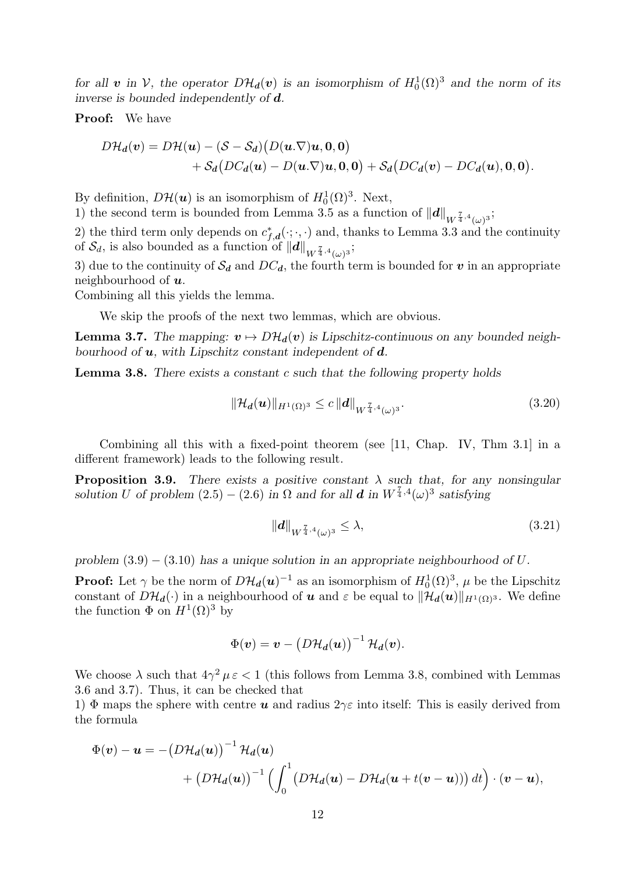for all v in V, the operator  $D\mathcal{H}_d(v)$  is an isomorphism of  $H_0^1(\Omega)^3$  and the norm of its inverse is bounded independently of d.

Proof: We have

$$
D\mathcal{H}_d(v) = D\mathcal{H}(u) - (S - S_d) (D(u.\nabla)u, 0, 0)
$$
  
+ 
$$
S_d (DC_d(u) - D(u.\nabla)u, 0, 0) + S_d (DC_d(v) - DC_d(u), 0, 0).
$$

By definition,  $D\mathcal{H}(\boldsymbol{u})$  is an isomorphism of  $H_0^1(\Omega)^3$ . Next,

1) the second term is bounded from Lemma 3.5 as a function of  $||d||_{W^{\frac{7}{4},4}(\omega)^3}$ ;

2) the third term only depends on  $c_{f,d}^*(\cdot;\cdot,\cdot)$  and, thanks to Lemma 3.3 and the continuity of  $\mathcal{S}_d$ , is also bounded as a function of  $\|d\|_{W^{\frac{7}{4},4}(\omega)^3};$ 

3) due to the continuity of  $\mathcal{S}_d$  and  $DC_d$ , the fourth term is bounded for v in an appropriate neighbourhood of  $u$ .

Combining all this yields the lemma.

We skip the proofs of the next two lemmas, which are obvious.

**Lemma 3.7.** The mapping:  $v \mapsto D\mathcal{H}_d(v)$  is Lipschitz-continuous on any bounded neighbourhood of  $u$ , with Lipschitz constant independent of  $d$ .

**Lemma 3.8.** There exists a constant c such that the following property holds

$$
\|\mathcal{H}_d(u)\|_{H^1(\Omega)^3} \le c \|d\|_{W^{\frac{7}{4},4}(\omega)^3}.
$$
\n(3.20)

Combining all this with a fixed-point theorem (see [11, Chap. IV, Thm 3.1] in a different framework) leads to the following result.

**Proposition 3.9.** There exists a positive constant  $\lambda$  such that, for any nonsingular solution U of problem  $(2.5) - (2.6)$  in  $\Omega$  and for all **d** in  $W^{\frac{7}{4},4}(\omega)^3$  satisfying

$$
||d||_{W^{\frac{7}{4},4}(\omega)^3} \le \lambda,\tag{3.21}
$$

problem  $(3.9) - (3.10)$  has a unique solution in an appropriate neighbourhood of U.

**Proof:** Let  $\gamma$  be the norm of  $D\mathcal{H}_d(\boldsymbol{u})^{-1}$  as an isomorphism of  $H_0^1(\Omega)^3$ ,  $\mu$  be the Lipschitz constant of  $D\mathcal{H}_d(\cdot)$  in a neighbourhood of u and  $\varepsilon$  be equal to  $\|\mathcal{H}_d(u)\|_{H^1(\Omega)^3}$ . We define the function  $\Phi$  on  $H^1(\Omega)^3$  by

$$
\Phi(\boldsymbol{v}) = \boldsymbol{v} - \left(D\mathcal{H}_d(\boldsymbol{u})\right)^{-1} \mathcal{H}_d(\boldsymbol{v}).
$$

We choose  $\lambda$  such that  $4\gamma^2 \mu \varepsilon < 1$  (this follows from Lemma 3.8, combined with Lemmas 3.6 and 3.7). Thus, it can be checked that

1)  $\Phi$  maps the sphere with centre **u** and radius  $2\gamma \varepsilon$  into itself: This is easily derived from the formula

$$
\Phi(\mathbf{v}) - \mathbf{u} = -\left(D\mathcal{H}_d(\mathbf{u})\right)^{-1} \mathcal{H}_d(\mathbf{u}) + \left(D\mathcal{H}_d(\mathbf{u})\right)^{-1} \left(\int_0^1 \left(D\mathcal{H}_d(\mathbf{u}) - D\mathcal{H}_d(\mathbf{u} + t(\mathbf{v} - \mathbf{u}))\right) dt\right) \cdot (\mathbf{v} - \mathbf{u}),
$$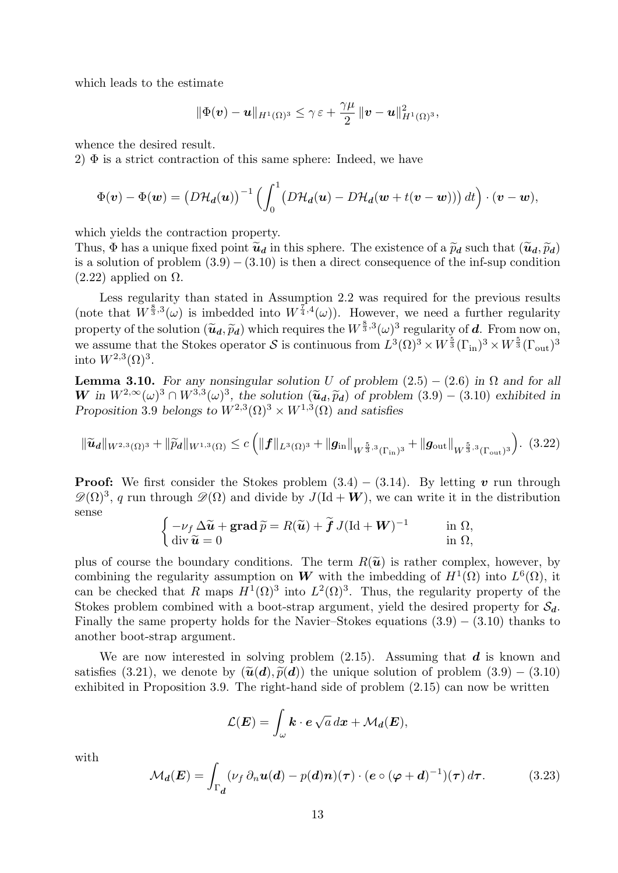which leads to the estimate

$$
\|\Phi(\boldsymbol{v})-\boldsymbol{u}\|_{H^1(\Omega)^3}\leq \gamma\,\varepsilon+\frac{\gamma\mu}{2}\,\|\boldsymbol{v}-\boldsymbol{u}\|_{H^1(\Omega)^3}^2,
$$

whence the desired result.

2)  $\Phi$  is a strict contraction of this same sphere: Indeed, we have

$$
\Phi(\boldsymbol{v}) - \Phi(\boldsymbol{w}) = \left(D\mathcal{H}_d(\boldsymbol{u})\right)^{-1} \left(\int_0^1 \left(D\mathcal{H}_d(\boldsymbol{u}) - D\mathcal{H}_d(\boldsymbol{w} + t(\boldsymbol{v} - \boldsymbol{w}))\right) dt\right) \cdot (\boldsymbol{v} - \boldsymbol{w}),
$$

which yields the contraction property.

Thus,  $\Phi$  has a unique fixed point  $\tilde{u}_d$  in this sphere. The existence of a  $\tilde{p}_d$  such that  $(\tilde{u}_d, \tilde{p}_d)$ is a solution of problem  $(3.9) - (3.10)$  is then a direct consequence of the inf-sup condition  $(2.22)$  applied on  $\Omega$ .

Less regularity than stated in Assumption 2.2 was required for the previous results (note that  $\tilde{W}^{\frac{8}{3},3}(\omega)$  is imbedded into  $W^{\frac{7}{4},4}(\omega)$ ). However, we need a further regularity property of the solution  $(\widetilde{u}_d, \widetilde{p}_d)$  which requires the  $W^{\frac{8}{3},3}(\omega)^3$  regularity of d. From now on, we assume that the Stokes operator S is continuous from  $L^3(\Omega)^3 \times W^{\frac{5}{3}}(\Gamma_{\text{in}})^3 \times W^{\frac{5}{3}}(\Gamma_{\text{out}})^3$ into  $W^{2,3}(\Omega)^3$ .

**Lemma 3.10.** For any nonsingular solution U of problem  $(2.5) - (2.6)$  in  $\Omega$  and for all W in  $W^{2,\infty}(\omega)^3 \cap W^{3,3}(\omega)^3$ , the solution  $(\tilde{u}_d, \tilde{p}_d)$  of problem  $(3.9) - (3.10)$  exhibited in Proposition 3.9 belongs to  $W^{2,3}(\Omega)^3 \times W^{1,3}(\Omega)$  and satisfies

$$
\|\widetilde{\boldsymbol{u}}_{\boldsymbol{d}}\|_{W^{2,3}(\Omega)^3} + \|\widetilde{p}_{\boldsymbol{d}}\|_{W^{1,3}(\Omega)} \le c \left( \|\boldsymbol{f}\|_{L^3(\Omega)^3} + \|\boldsymbol{g}_{\rm in}\|_{W^{\frac{5}{3},3}(\Gamma_{\rm in})^3} + \|\boldsymbol{g}_{\rm out}\|_{W^{\frac{5}{3},3}(\Gamma_{\rm out})^3} \right). \tag{3.22}
$$

**Proof:** We first consider the Stokes problem  $(3.4) - (3.14)$ . By letting v run through  $\mathscr{D}(\Omega)^3$ , q run through  $\mathscr{D}(\Omega)$  and divide by  $J(\text{Id} + \mathbf{W})$ , we can write it in the distribution sense

$$
\begin{cases}\n-\nu_f \Delta \widetilde{\mathbf{u}} + \mathbf{grad} \widetilde{p} = R(\widetilde{\mathbf{u}}) + \widetilde{\mathbf{f}} J (\mathrm{Id} + \mathbf{W})^{-1} & \text{in } \Omega, \\
\mathrm{div} \widetilde{\mathbf{u}} = 0 & \text{in } \Omega,\n\end{cases}
$$

plus of course the boundary conditions. The term  $R(\tilde{u})$  is rather complex, however, by combining the regularity assumption on W with the imbedding of  $H^1(\Omega)$  into  $L^6(\Omega)$ , it can be checked that R maps  $H^1(\Omega)^3$  into  $L^2(\Omega)^3$ . Thus, the regularity property of the Stokes problem combined with a boot-strap argument, yield the desired property for  $S_d$ . Finally the same property holds for the Navier–Stokes equations  $(3.9) - (3.10)$  thanks to another boot-strap argument.

We are now interested in solving problem  $(2.15)$ . Assuming that d is known and satisfies (3.21), we denote by  $(\tilde{u}(d), \tilde{p}(d))$  the unique solution of problem  $(3.9) - (3.10)$ exhibited in Proposition 3.9. The right-hand side of problem (2.15) can now be written

$$
\mathcal{L}(\boldsymbol{E}) = \int_{\omega} \boldsymbol{k} \cdot \boldsymbol{e} \sqrt{a} \, dx + \mathcal{M}_d(\boldsymbol{E}),
$$

with

$$
\mathcal{M}_d(\boldsymbol{E}) = \int_{\Gamma_{d}} (\nu_f \, \partial_n \boldsymbol{u}(d) - p(d)\boldsymbol{n}) (\boldsymbol{\tau}) \cdot (\boldsymbol{e} \circ (\boldsymbol{\varphi} + d)^{-1}) (\boldsymbol{\tau}) \, d\boldsymbol{\tau}.
$$
 (3.23)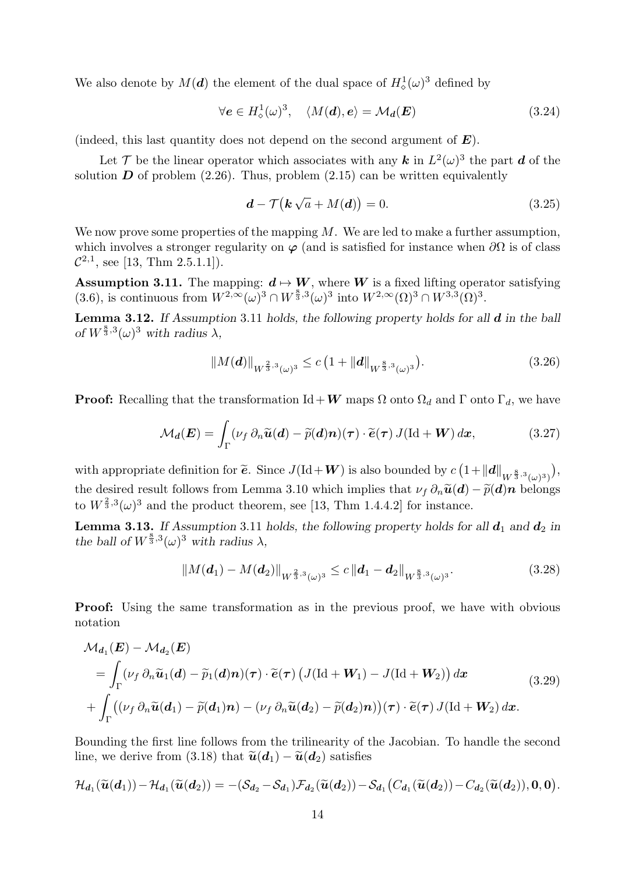We also denote by  $M(\boldsymbol{d})$  the element of the dual space of  $H^1_{\diamond}(\omega)^3$  defined by

$$
\forall e \in H^1_\diamond(\omega)^3, \quad \langle M(\boldsymbol{d}), e \rangle = \mathcal{M}_\boldsymbol{d}(E) \tag{3.24}
$$

(indeed, this last quantity does not depend on the second argument of  $E$ ).

Let  $\mathcal{T}$  be the linear operator which associates with any  $\mathbf{k}$  in  $L^2(\omega)^3$  the part  $\mathbf{d}$  of the solution  $\bm{D}$  of problem (2.26). Thus, problem (2.15) can be written equivalently

$$
\mathbf{d} - \mathcal{T}\big(\mathbf{k}\sqrt{a} + M(\mathbf{d})\big) = 0. \tag{3.25}
$$

We now prove some properties of the mapping  $M$ . We are led to make a further assumption, which involves a stronger regularity on  $\varphi$  (and is satisfied for instance when  $\partial\Omega$  is of class  $\mathcal{C}^{2,1}$ , see [13, Thm 2.5.1.1]).

**Assumption 3.11.** The mapping:  $d \mapsto W$ , where W is a fixed lifting operator satisfying (3.6), is continuous from  $W^{2,\infty}(\omega)^3 \cap W^{\frac{8}{3},3}(\omega)^3$  into  $W^{2,\infty}(\Omega)^3 \cap W^{3,3}(\Omega)^3$ .

**Lemma 3.12.** If Assumption 3.11 holds, the following property holds for all  $d$  in the ball of  $W^{\frac{8}{3},3}(\omega)^3$  with radius  $\lambda$ ,

$$
||M(\boldsymbol{d})||_{W^{\frac{2}{3},3}(\omega)^{3}} \leq c\left(1 + ||\boldsymbol{d}||_{W^{\frac{8}{3},3}(\omega)^{3}}\right).
$$
\n(3.26)

**Proof:** Recalling that the transformation Id + W maps  $\Omega$  onto  $\Omega_d$  and  $\Gamma$  onto  $\Gamma_d$ , we have

$$
\mathcal{M}_d(\boldsymbol{E}) = \int_{\Gamma} (\nu_f \, \partial_n \widetilde{\boldsymbol{u}}(\boldsymbol{d}) - \widetilde{p}(\boldsymbol{d}) \boldsymbol{n}) (\boldsymbol{\tau}) \cdot \widetilde{\boldsymbol{e}}(\boldsymbol{\tau}) J(\mathrm{Id} + \boldsymbol{W}) \, d\boldsymbol{x}, \tag{3.27}
$$

with appropriate definition for  $\tilde{e}$ . Since  $J(\text{Id} + W)$  is also bounded by  $c(1 + ||d||_{W^{\frac{8}{3},3}(\omega)^3})$  , the desired result follows from Lemma 3.10 which implies that  $\nu_f \partial_n \tilde{u}(d) - \tilde{p}(d)n$  belongs to  $W^{\frac{2}{3},3}(\omega)^3$  and the product theorem, see [13, Thm 1.4.4.2] for instance.

**Lemma 3.13.** If Assumption 3.11 holds, the following property holds for all  $d_1$  and  $d_2$  in the ball of  $W^{\frac{8}{3},3}(\omega)^3$  with radius  $\lambda$ ,

$$
||M(\boldsymbol{d}_1) - M(\boldsymbol{d}_2)||_{W^{\frac{2}{3},3}(\omega)^3} \leq c||\boldsymbol{d}_1 - \boldsymbol{d}_2||_{W^{\frac{8}{3},3}(\omega)^3}.
$$
\n(3.28)

**Proof:** Using the same transformation as in the previous proof, we have with obvious notation

$$
\mathcal{M}_{d_1}(E) - \mathcal{M}_{d_2}(E)
$$
\n
$$
= \int_{\Gamma} (\nu_f \, \partial_n \widetilde{u}_1(d) - \widetilde{p}_1(d)\mathbf{n}) (\tau) \cdot \widetilde{e}(\tau) \left( J(\mathrm{Id} + W_1) - J(\mathrm{Id} + W_2) \right) dx \tag{3.29}
$$
\n
$$
+ \int_{\Gamma} ((\nu_f \, \partial_n \widetilde{u}(d_1) - \widetilde{p}(d_1)\mathbf{n}) - (\nu_f \, \partial_n \widetilde{u}(d_2) - \widetilde{p}(d_2)\mathbf{n})) (\tau) \cdot \widetilde{e}(\tau) J(\mathrm{Id} + W_2) dx.
$$

Bounding the first line follows from the trilinearity of the Jacobian. To handle the second line, we derive from (3.18) that  $\tilde{\boldsymbol{u}}(\boldsymbol{d}_1) - \tilde{\boldsymbol{u}}(\boldsymbol{d}_2)$  satisfies

$$
\mathcal{H}_{d_1}(\widetilde{u}(d_1)) - \mathcal{H}_{d_1}(\widetilde{u}(d_2)) = -(\mathcal{S}_{d_2} - \mathcal{S}_{d_1})\mathcal{F}_{d_2}(\widetilde{u}(d_2)) - \mathcal{S}_{d_1}(C_{d_1}(\widetilde{u}(d_2)) - C_{d_2}(\widetilde{u}(d_2)), 0, 0).
$$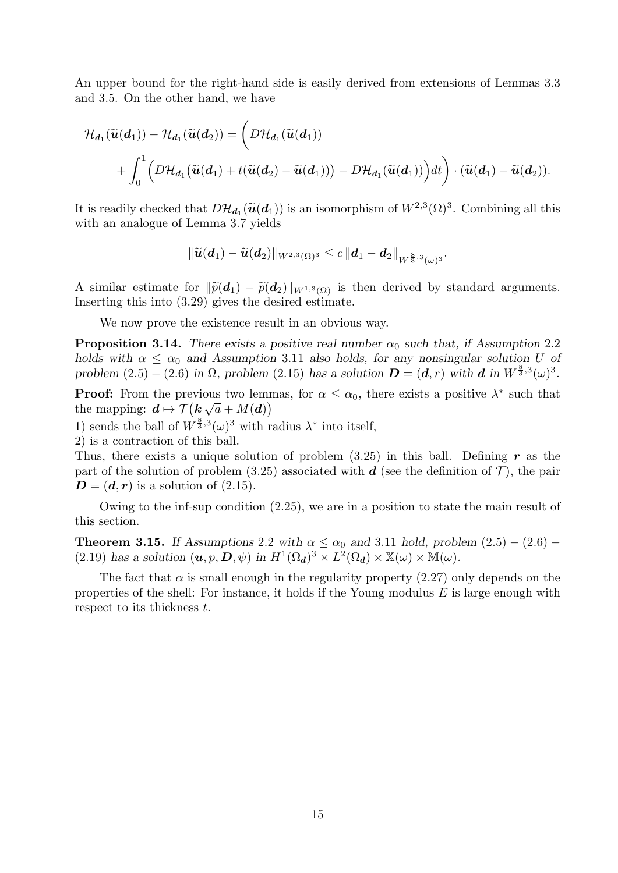An upper bound for the right-hand side is easily derived from extensions of Lemmas 3.3 and 3.5. On the other hand, we have

$$
\mathcal{H}_{d_1}(\widetilde{u}(d_1)) - \mathcal{H}_{d_1}(\widetilde{u}(d_2)) = \left(D\mathcal{H}_{d_1}(\widetilde{u}(d_1))\right) + \int_0^1 \left(D\mathcal{H}_{d_1}(\widetilde{u}(d_1) + t(\widetilde{u}(d_2) - \widetilde{u}(d_1))) - D\mathcal{H}_{d_1}(\widetilde{u}(d_1))\right)dt\right) \cdot (\widetilde{u}(d_1) - \widetilde{u}(d_2)).
$$

It is readily checked that  $D\mathcal{H}_{d_1}(\tilde{u}(d_1))$  is an isomorphism of  $W^{2,3}(\Omega)^3$ . Combining all this with an analogue of Lemma 3.7 yields

$$
\|\widetilde{\boldsymbol{u}}(\boldsymbol{d}_1)-\widetilde{\boldsymbol{u}}(\boldsymbol{d}_2)\|_{W^{2,3}(\Omega)^3}\leq c\left\|\boldsymbol{d}_1-\boldsymbol{d}_2\right\|_{W^{\frac{8}{3},3}(\omega)^3}.
$$

A similar estimate for  $\|\widetilde{p}(\boldsymbol{d}_1) - \widetilde{p}(\boldsymbol{d}_2)\|_{W^{1,3}(\Omega)}$  is then derived by standard arguments. Inserting this into (3.29) gives the desired estimate.

We now prove the existence result in an obvious way.

**Proposition 3.14.** There exists a positive real number  $\alpha_0$  such that, if Assumption 2.2 holds with  $\alpha < \alpha_0$  and Assumption 3.11 also holds, for any nonsingular solution U of problem  $(2.5) - (2.6)$  in  $\Omega$ , problem  $(2.15)$  has a solution  $\mathbf{D} = (\mathbf{d}, r)$  with  $\mathbf{d}$  in  $W^{\frac{8}{3},3}(\omega)^3$ .

**Proof:** From the previous two lemmas, for  $\alpha \leq \alpha_0$ , there exists a positive  $\lambda^*$  such that the mapping:  $\boldsymbol{d} \mapsto \mathcal{T}(\boldsymbol{k}\sqrt{a} + M(\boldsymbol{d}))$ 

1) sends the ball of  $W^{\frac{8}{3},3}(\omega)^3$  with radius  $\lambda^*$  into itself,

2) is a contraction of this ball.

Thus, there exists a unique solution of problem  $(3.25)$  in this ball. Defining r as the part of the solution of problem (3.25) associated with d (see the definition of  $\mathcal{T}$ ), the pair  $D = (d, r)$  is a solution of  $(2.15)$ .

Owing to the inf-sup condition (2.25), we are in a position to state the main result of this section.

**Theorem 3.15.** If Assumptions 2.2 with  $\alpha \le \alpha_0$  and 3.11 hold, problem  $(2.5) - (2.6)$  – (2.19) has a solution  $(\mathbf{u}, p, \mathbf{D}, \psi)$  in  $H^1(\Omega_d)^3 \times L^2(\Omega_d) \times \mathbb{X}(\omega) \times \mathbb{M}(\omega)$ .

The fact that  $\alpha$  is small enough in the regularity property (2.27) only depends on the properties of the shell: For instance, it holds if the Young modulus  $E$  is large enough with respect to its thickness t.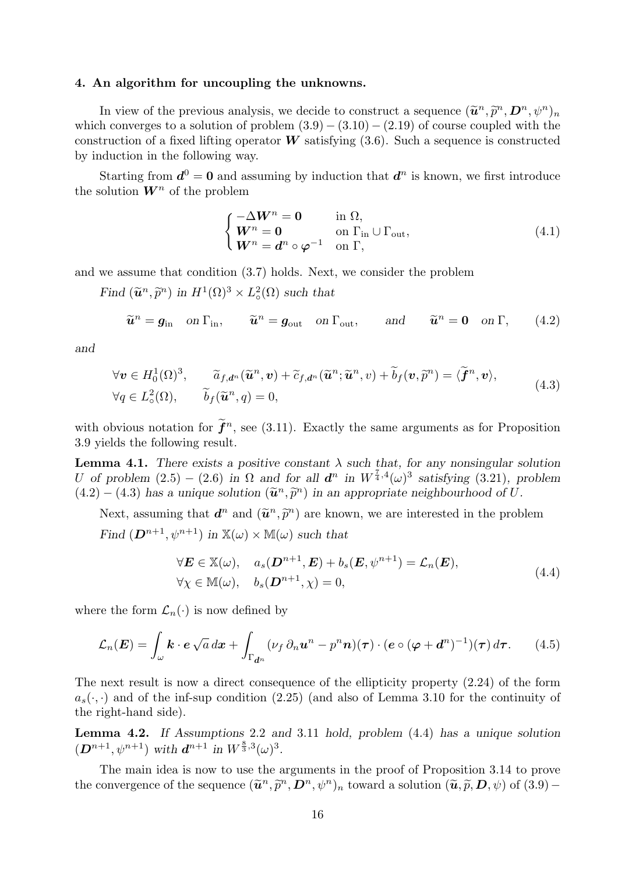#### 4. An algorithm for uncoupling the unknowns.

In view of the previous analysis, we decide to construct a sequence  $(\tilde{u}^n, \tilde{p}^n, D^n, \psi^n)_n$ <br>h converges to a solution of publics  $(2, 0)$ ,  $(2, 10)$ ,  $(2, 10)$  of sequence coupled with the which converges to a solution of problem  $(3.9) - (3.10) - (2.19)$  of course coupled with the construction of a fixed lifting operator  $W$  satisfying  $(3.6)$ . Such a sequence is constructed by induction in the following way.

Starting from  $\mathbf{d}^0 = \mathbf{0}$  and assuming by induction that  $\mathbf{d}^n$  is known, we first introduce the solution  $W^n$  of the problem

$$
\begin{cases}\n-\Delta \mathbf{W}^n = \mathbf{0} & \text{in } \Omega, \\
\mathbf{W}^n = \mathbf{0} & \text{on } \Gamma_{\text{in}} \cup \Gamma_{\text{out}}, \\
\mathbf{W}^n = \mathbf{d}^n \circ \varphi^{-1} & \text{on } \Gamma,\n\end{cases} (4.1)
$$

and we assume that condition (3.7) holds. Next, we consider the problem

Find  $(\widetilde{\mathbf{u}}^n, \widetilde{p}^n)$  in  $H^1(\Omega)^3 \times L^2_{\circ}$  $_{\circ}^{2}(\Omega)$  such that

$$
\widetilde{\boldsymbol{u}}^n = \boldsymbol{g}_{\text{in}} \quad \text{on } \Gamma_{\text{in}}, \qquad \widetilde{\boldsymbol{u}}^n = \boldsymbol{g}_{\text{out}} \quad \text{on } \Gamma_{\text{out}}, \qquad \text{and} \qquad \widetilde{\boldsymbol{u}}^n = \boldsymbol{0} \quad \text{on } \Gamma, \qquad (4.2)
$$

and

$$
\forall \mathbf{v} \in H_0^1(\Omega)^3, \qquad \widetilde{a}_{f,d^n}(\widetilde{\mathbf{u}}^n, \mathbf{v}) + \widetilde{c}_{f,d^n}(\widetilde{\mathbf{u}}^n; \widetilde{\mathbf{u}}^n, v) + \widetilde{b}_f(\mathbf{v}, \widetilde{p}^n) = \langle \widetilde{\mathbf{f}}^n, \mathbf{v} \rangle,
$$
  
\n
$$
\forall q \in L^2(\Omega), \qquad \widetilde{b}_f(\widetilde{\mathbf{u}}^n, q) = 0,
$$
\n(4.3)

with obvious notation for  $\tilde{\mathbf{f}}^n$ , see (3.11). Exactly the same arguments as for Proposition 3.9 yields the following result.

**Lemma 4.1.** There exists a positive constant  $\lambda$  such that, for any nonsingular solution U of problem  $(2.5) - (2.6)$  in  $\Omega$  and for all  $d^n$  in  $W^{\frac{7}{4},4}(\omega)^3$  satisfying  $(3.21)$ , problem  $(4.2) - (4.3)$  has a unique solution  $(\tilde{u}^n, \tilde{p}^n)$  in an appropriate neighbourhood of U.

Next, assuming that  $\boldsymbol{d}^n$  and  $(\tilde{\boldsymbol{u}}^n, \tilde{p}^n)$  are known, we are interested in the problem Find  $(D^{n+1}, \psi^{n+1})$  in  $\mathbb{X}(\omega) \times \mathbb{M}(\omega)$  such that

$$
\forall \mathbf{E} \in \mathbb{X}(\omega), \quad a_s(\mathbf{D}^{n+1}, \mathbf{E}) + b_s(\mathbf{E}, \psi^{n+1}) = \mathcal{L}_n(\mathbf{E}),
$$
  
\n
$$
\forall \chi \in \mathbb{M}(\omega), \quad b_s(\mathbf{D}^{n+1}, \chi) = 0,
$$
\n(4.4)

where the form  $\mathcal{L}_n(\cdot)$  is now defined by

$$
\mathcal{L}_n(\boldsymbol{E}) = \int_{\omega} \boldsymbol{k} \cdot \boldsymbol{e} \sqrt{a} \, dx + \int_{\Gamma_{d^n}} (\nu_f \, \partial_n \boldsymbol{u}^n - p^n \boldsymbol{n}) (\boldsymbol{\tau}) \cdot (\boldsymbol{e} \circ (\boldsymbol{\varphi} + \boldsymbol{d}^n)^{-1}) (\boldsymbol{\tau}) \, d \boldsymbol{\tau}.
$$
 (4.5)

The next result is now a direct consequence of the ellipticity property (2.24) of the form  $a_s(\cdot, \cdot)$  and of the inf-sup condition (2.25) (and also of Lemma 3.10 for the continuity of the right-hand side).

Lemma 4.2. If Assumptions 2.2 and 3.11 hold, problem (4.4) has a unique solution  $(D^{n+1}, \psi^{n+1})$  with  $d^{n+1}$  in  $W^{\frac{8}{3},3}(\omega)^3$ .

The main idea is now to use the arguments in the proof of Proposition 3.14 to prove the convergence of the sequence  $(\tilde{u}^n, \tilde{p}^n, D^n, \psi^n)_n$  toward a solution  $(\tilde{u}, \tilde{p}, D, \psi)$  of  $(3.9)$  -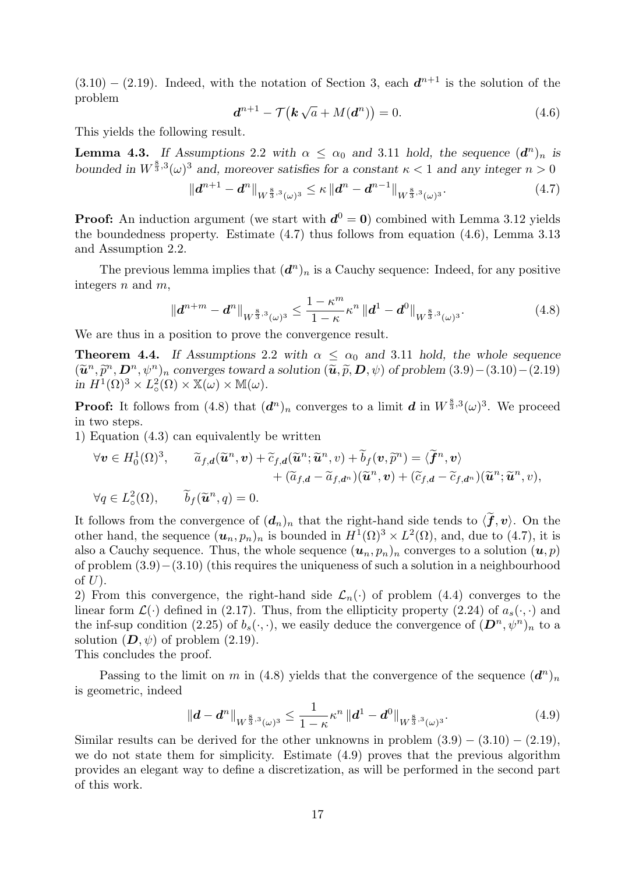$(3.10) - (2.19)$ . Indeed, with the notation of Section 3, each  $d^{n+1}$  is the solution of the problem

$$
\boldsymbol{d}^{n+1} - \mathcal{T}(\boldsymbol{k}\sqrt{a} + M(\boldsymbol{d}^n)) = 0.
$$
 (4.6)

This yields the following result.

**Lemma 4.3.** If Assumptions 2.2 with  $\alpha \leq \alpha_0$  and 3.11 hold, the sequence  $(d^n)_n$  is bounded in  $W^{\frac{8}{3},3}(\omega)^3$  and, moreover satisfies for a constant  $\kappa < 1$  and any integer  $n > 0$ 

$$
\|d^{n+1} - d^n\|_{W^{\frac{8}{3},3}(\omega)^3} \leq \kappa \|d^n - d^{n-1}\|_{W^{\frac{8}{3},3}(\omega)^3}.
$$
\n(4.7)

**Proof:** An induction argument (we start with  $d^0 = 0$ ) combined with Lemma 3.12 yields the boundedness property. Estimate (4.7) thus follows from equation (4.6), Lemma 3.13 and Assumption 2.2.

The previous lemma implies that  $(d^n)_n$  is a Cauchy sequence: Indeed, for any positive integers  $n$  and  $m$ .

$$
\|d^{n+m} - d^n\|_{W^{\frac{8}{3},3}(\omega)^3} \le \frac{1 - \kappa^m}{1 - \kappa} \kappa^n \|d^1 - d^0\|_{W^{\frac{8}{3},3}(\omega)^3}.
$$
 (4.8)

We are thus in a position to prove the convergence result.

**Theorem 4.4.** If Assumptions 2.2 with  $\alpha \leq \alpha_0$  and 3.11 hold, the whole sequence  $(\widetilde{\mathbf{u}}^n, \widetilde{p}^n, \mathbf{D}^n, \psi^n)_n$  converges toward a solution  $(\widetilde{\mathbf{u}}, \widetilde{p}, \mathbf{D}, \psi)$  of problem  $(3.9) - (3.10) - (2.19)$ in  $H^1(\Omega)^3 \times L^2_{\circ}$  $L^2_{\circ}(\Omega) \times \mathbb{X}(\omega) \times \mathbb{M}(\omega).$ 

**Proof:** It follows from (4.8) that  $(d^n)_n$  converges to a limit d in  $W^{\frac{8}{3},3}(\omega)^3$ . We proceed in two steps.

1) Equation (4.3) can equivalently be written

$$
\forall \mathbf{v} \in H_0^1(\Omega)^3, \qquad \widetilde{a}_{f,d}(\widetilde{\mathbf{u}}^n, \mathbf{v}) + \widetilde{c}_{f,d}(\widetilde{\mathbf{u}}^n; \widetilde{\mathbf{u}}^n, v) + \widetilde{b}_f(\mathbf{v}, \widetilde{p}^n) = \langle \widetilde{\mathbf{f}}^n, \mathbf{v} \rangle + (\widetilde{a}_{f,d} - \widetilde{a}_{f,d^n})(\widetilde{\mathbf{u}}^n, \mathbf{v}) + (\widetilde{c}_{f,d} - \widetilde{c}_{f,d^n})(\widetilde{\mathbf{u}}^n; \widetilde{\mathbf{u}}^n, v), \n\forall q \in L^2(\Omega), \qquad \widetilde{b}_f(\widetilde{\mathbf{u}}^n, q) = 0.
$$

It follows from the convergence of  $(d_n)_n$  that the right-hand side tends to  $\langle \tilde{f}, v \rangle$ . On the other hand, the sequence  $(u_n, p_n)_n$  is bounded in  $H^1(\Omega)^3 \times L^2(\Omega)$ , and, due to (4.7), it is also a Cauchy sequence. Thus, the whole sequence  $(u_n, p_n)_n$  converges to a solution  $(u, p)$ of problem (3.9)−(3.10) (this requires the uniqueness of such a solution in a neighbourhood of  $U$ ).

2) From this convergence, the right-hand side  $\mathcal{L}_n(\cdot)$  of problem (4.4) converges to the linear form  $\mathcal{L}(\cdot)$  defined in (2.17). Thus, from the ellipticity property (2.24) of  $a_s(\cdot, \cdot)$  and the inf-sup condition (2.25) of  $b_s(\cdot, \cdot)$ , we easily deduce the convergence of  $(D^n, \psi^n)_n$  to a solution  $(D, \psi)$  of problem  $(2.19)$ .

This concludes the proof.

Passing to the limit on m in (4.8) yields that the convergence of the sequence  $(d^n)_n$ is geometric, indeed

$$
\|d - d^n\|_{W^{\frac{8}{3},3}(\omega)^3} \le \frac{1}{1-\kappa} \kappa^n \|d^1 - d^0\|_{W^{\frac{8}{3},3}(\omega)^3}.
$$
\n(4.9)

Similar results can be derived for the other unknowns in problem  $(3.9) - (3.10) - (2.19)$ , we do not state them for simplicity. Estimate (4.9) proves that the previous algorithm provides an elegant way to define a discretization, as will be performed in the second part of this work.